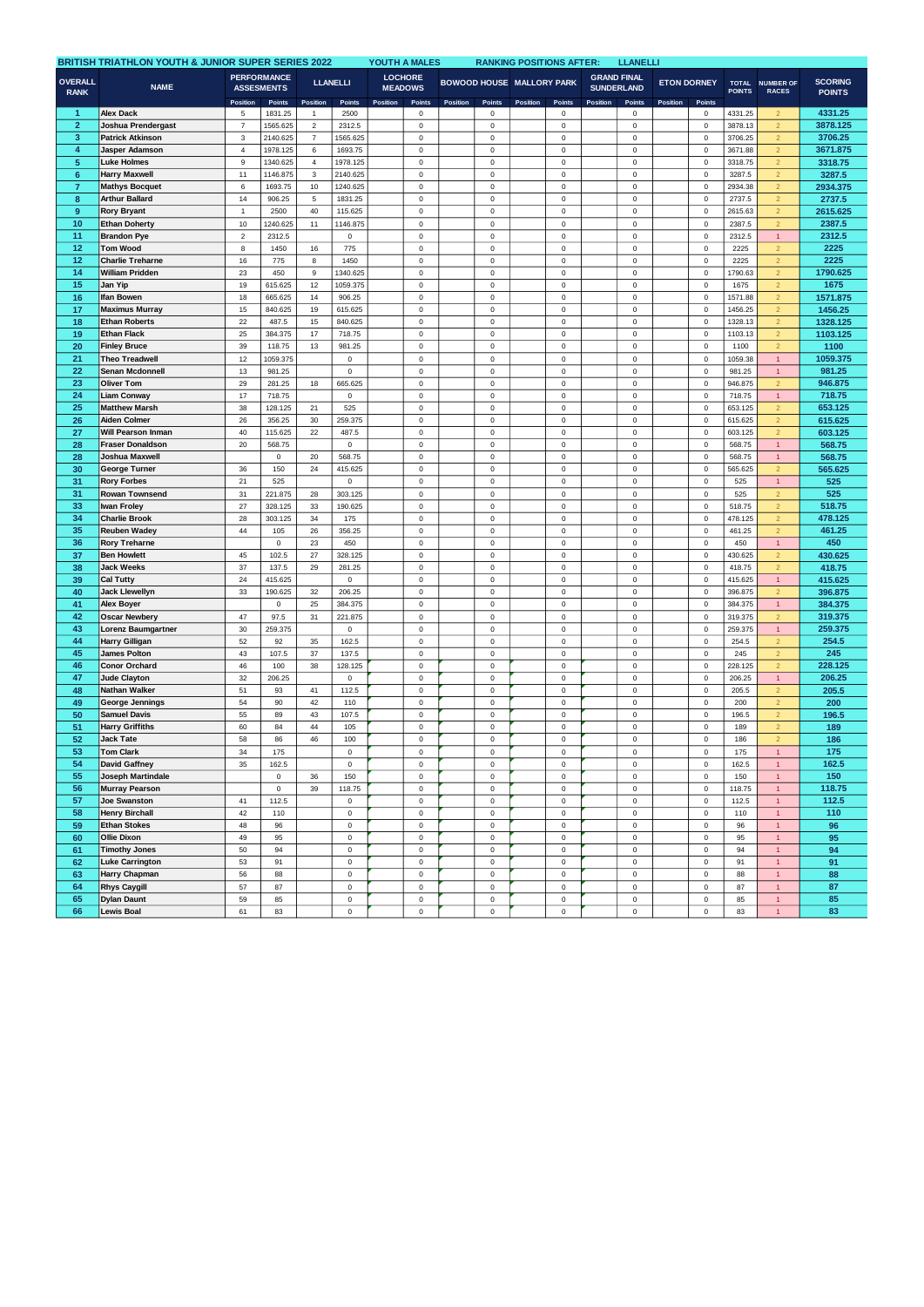| <b>BRITISH TRIATHLON YOUTH &amp; JUNIOR SUPER SERIES 2022</b> |                                               |                                         |                      |                                |                        |          | YOUTH A MALES<br><b>RANKING POSITIONS AFTER:</b><br><b>LLANELLI</b> |          |                            |                                  |                            |                                         |                            |                    |                                    |                               |                                  |                                 |
|---------------------------------------------------------------|-----------------------------------------------|-----------------------------------------|----------------------|--------------------------------|------------------------|----------|---------------------------------------------------------------------|----------|----------------------------|----------------------------------|----------------------------|-----------------------------------------|----------------------------|--------------------|------------------------------------|-------------------------------|----------------------------------|---------------------------------|
| <b>OVERALL</b><br><b>RANK</b>                                 | <b>NAME</b>                                   | <b>PERFORMANCE</b><br><b>ASSESMENTS</b> |                      | <b>LLANELLI</b>                |                        |          | <b>LOCHORE</b><br><b>MEADOWS</b>                                    |          |                            | <b>BOWOOD HOUSE MALLORY PARK</b> |                            | <b>GRAND FINAL</b><br><b>SUNDERLAND</b> |                            | <b>ETON DORNEY</b> |                                    | <b>TOTAL</b><br><b>POINTS</b> | <b>NUMBER OF</b><br><b>RACES</b> | <b>SCORING</b><br><b>POINTS</b> |
|                                                               | <b>Alex Dack</b>                              | Position                                | Points               | Position                       | Points                 | Position | Points                                                              | Position | Points                     | Position                         | Points<br>$\mathbf 0$      | Position                                | Points                     | Position           | Points<br>$\mathbf 0$              |                               |                                  | 4331.25                         |
| 1<br>$\overline{2}$                                           |                                               | 5<br>$\overline{7}$                     | 1831.25              | $\mathbf{1}$<br>$\overline{2}$ | 2500                   |          | $\mathbf 0$                                                         |          | 0                          |                                  | $\mathbf 0$                |                                         | $\mathbf 0$<br>$\mathsf 0$ |                    | $\mathsf 0$                        | 4331.25                       | $\overline{2}$<br>$\overline{2}$ | 3878.125                        |
| $\mathbf 3$                                                   | Joshua Prendergast<br><b>Patrick Atkinson</b> | 3                                       | 1565.625<br>2140.625 | $\boldsymbol{7}$               | 2312.5<br>1565.625     |          | $\pmb{0}$<br>$\pmb{0}$                                              |          | $\,$ 0<br>$\mathsf 0$      |                                  | $\pmb{0}$                  |                                         | $\mathsf 0$                |                    | $\mathbf 0$                        | 3878.13<br>3706.25            |                                  | 3706.25                         |
| 4                                                             | <b>Jasper Adamson</b>                         | 4                                       | 1978.125             | 6                              | 1693.75                |          | $\mathbf 0$                                                         |          | 0                          |                                  | $\mathbf 0$                |                                         | $\mathsf 0$                |                    | $\mathsf{o}\xspace$                | 3671.88                       | $\overline{2}$<br>$\overline{2}$ | 3671.875                        |
| $\sqrt{5}$                                                    | Luke Holmes                                   | 9                                       | 1340.625             | $\overline{4}$                 | 1978.125               |          | $\mathbf 0$                                                         |          | $\mathbf 0$                |                                  | $\mathsf 0$                |                                         | $\mathsf 0$                |                    | $\mathsf 0$                        | 3318.75                       | $\overline{2}$                   | 3318.75                         |
| $6\phantom{1}6$                                               | <b>Harry Maxwell</b>                          | 11                                      | 1146.875             | 3                              | 2140.625               |          | $\mathbf 0$                                                         |          | $\mathsf 0$                |                                  | $\mathsf 0$                |                                         | $\mathsf 0$                |                    | $\mathbf 0$                        | 3287.5                        | $\overline{2}$                   | 3287.5                          |
| $\overline{7}$                                                | <b>Mathys Bocquet</b>                         | 6                                       | 1693.75              | 10                             | 1240.625               |          | $\mathbf 0$                                                         |          | $\mathbf 0$                |                                  | $\mathsf 0$                |                                         | $\mathsf 0$                |                    | $\mathsf 0$                        | 2934.38                       | $\overline{2}$                   | 2934.375                        |
| 8                                                             | <b>Arthur Ballard</b>                         | 14                                      | 906.25               | $\mathbf 5$                    | 1831.25                |          | $\pmb{0}$                                                           |          | $\mathsf 0$                |                                  | $\mathbf 0$                |                                         | $\mathsf 0$                |                    | $\mathbf 0$                        | 2737.5                        | $\overline{2}$                   | 2737.5                          |
| $\overline{9}$                                                | <b>Rory Bryant</b>                            | 1                                       | 2500                 | 40                             | 115.625                |          | $\mathbf 0$                                                         |          | $\mathsf 0$                |                                  | $\mathsf 0$                |                                         | $\mathsf 0$                |                    | $\mathsf 0$                        | 2615.63                       | $\overline{2}$                   | 2615.625                        |
| 10                                                            | <b>Ethan Doherty</b>                          | 10                                      | 1240.625             | 11                             | 1146.875               |          | $\mathbf 0$                                                         |          | $\mathsf 0$                |                                  | $\mathsf 0$                |                                         | $\mathsf 0$                |                    | $\mathsf 0$                        | 2387.5                        | $\overline{2}$                   | 2387.5                          |
| 11                                                            | <b>Brandon Pye</b>                            | $\overline{\mathbf{c}}$                 | 2312.5               |                                | 0                      |          | $\pmb{0}$                                                           |          | $\mathbf 0$                |                                  | $\pmb{0}$                  |                                         | 0                          |                    | $\mathbf 0$                        | 2312.5                        | $\mathbf{1}$                     | 2312.5                          |
| 12                                                            | <b>Tom Wood</b>                               | 8                                       | 1450                 | 16                             | 775                    |          | $\mathbf 0$                                                         |          | $\mathsf 0$                |                                  | $\mathsf 0$                |                                         | $\mathsf 0$                |                    | $\mathsf 0$                        | 2225                          | $\overline{2}$                   | 2225                            |
| 12                                                            | <b>Charlie Treharne</b>                       | 16                                      | 775                  | 8                              | 1450                   |          | $\mathbf 0$                                                         |          | $\mathsf 0$                |                                  | $\mathsf 0$                |                                         | $\mathbf 0$                |                    | $\mathsf 0$                        | 2225                          | $\overline{2}$                   | 2225                            |
| 14                                                            | <b>William Pridden</b>                        | 23                                      | 450                  | $\mathsf g$                    | 1340.625               |          | $\pmb{0}$                                                           |          | $\mathbf 0$                |                                  | $\mathsf 0$                |                                         | $\mathsf 0$                |                    | $\mathbf 0$                        | 1790.63                       | $\overline{2}$                   | 1790.625                        |
| 15                                                            | Jan Yip                                       | 19                                      | 615.625              | 12                             | 1059.375               |          | $\mathbf 0$                                                         |          | 0                          |                                  | $\mathsf 0$                |                                         | $\mathbf 0$                |                    | $\mathsf 0$                        | 1675                          | $\overline{2}$                   | 1675                            |
| 16                                                            | Ifan Bowen                                    | 18                                      | 665.625              | 14                             | 906.25                 |          | $\mathbf 0$                                                         |          | $\mathsf 0$                |                                  | $\mathsf 0$                |                                         | $\mathsf 0$                |                    | $\mathsf{o}\,$                     | 1571.88                       | $\overline{2}$                   | 1571.875                        |
| 17                                                            | <b>Maximus Murray</b>                         | 15                                      | 840.625              | 19                             | 615.625                |          | $\mathbf 0$                                                         |          | $\mathsf 0$                |                                  | $\mathsf 0$                |                                         | $\mathsf 0$                |                    | $\mathbf 0$                        | 1456.25                       | $\overline{2}$                   | 1456.25                         |
| 18                                                            | <b>Ethan Roberts</b>                          | 22                                      | 487.5                | 15                             | 840.625                |          | $\mathbf 0$                                                         |          | $\mathsf 0$                |                                  | $\mathsf 0$                |                                         | $\mathbf 0$                |                    | $\mathbf 0$                        | 1328.13                       | $\overline{2}$                   | 1328.125                        |
| 19                                                            | <b>Ethan Flack</b>                            | 25                                      | 384.375              | 17                             | 718.75                 |          | $\pmb{0}$                                                           |          | $\mathbf 0$                |                                  | $\mathsf 0$                |                                         | $\mathsf 0$                |                    | $\mathsf{O}\xspace$                | 1103.13                       | $\overline{2}$                   | 1103.125                        |
| 20                                                            | <b>Finley Bruce</b>                           | 39                                      | 118.75               | 13                             | 981.25                 |          | $\mathbf 0$                                                         |          | $\mathsf 0$                |                                  | $\mathsf 0$                |                                         | $\mathsf 0$                |                    | $\mathsf{o}\,$                     | 1100                          | $\overline{2}$                   | 1100                            |
| 21                                                            | <b>Theo Treadwell</b>                         | 12                                      | 1059.375             |                                | $\mathsf 0$            |          | $\pmb{0}$                                                           |          | $\mathbf 0$                |                                  | $\pmb{0}$                  |                                         | $\mathsf 0$                |                    | $\mathbf 0$                        | 1059.38                       | $\mathbf{1}$                     | 1059.375                        |
| 22                                                            | Senan Mcdonnell                               | 13                                      | 981.25               |                                | $\mathsf 0$            |          | $\mathbf 0$                                                         |          | $\mathsf 0$                |                                  | $\mathbf 0$                |                                         | $\mathsf 0$                |                    | $\mathbf 0$                        | 981.25                        | $\mathbf{1}$                     | 981.25                          |
| 23                                                            | Oliver Tom                                    | 29                                      | 281.25               | 18                             | 665.625                |          | $\mathbf 0$                                                         |          | $\mathsf 0$                |                                  | $\mathsf 0$                |                                         | $\mathsf 0$                |                    | $\mathsf{o}\,$                     | 946.875                       | $\overline{2}$                   | 946.875                         |
| 24                                                            | <b>Liam Conway</b>                            | 17                                      | 718.75               |                                | $\mathsf 0$            |          | $\mathbf 0$                                                         |          | $\mathbf 0$                |                                  | $\mathsf 0$                |                                         | $\mathsf 0$                |                    | $\mathsf 0$                        | 718.75                        | $\mathbf{1}$                     | 718.75                          |
| 25                                                            | <b>Matthew Marsh</b>                          | 38                                      | 128.125              | 21                             | 525                    |          | $\pmb{0}$                                                           |          | $\mathbf 0$                |                                  | $\mathsf 0$                |                                         | $\mathsf 0$                |                    | $\mathbf 0$                        | 653.125                       | $\overline{2}$                   | 653.125                         |
| 26<br>27                                                      | <b>Aiden Colmer</b><br>Will Pearson Inman     | 26<br>40                                | 356.25<br>115.625    | 30                             | 259.375                |          | $\mathbf 0$<br>$\mathbf 0$                                          |          | $\mathbf 0$<br>$\mathbf 0$ |                                  | $\mathsf 0$<br>$\mathsf 0$ |                                         | $\mathsf 0$                |                    | $\mathsf{o}\xspace$<br>$\mathsf 0$ | 615.625<br>603.125            | $\overline{2}$<br>$\overline{2}$ | 615.625                         |
| 28                                                            | <b>Fraser Donaldson</b>                       | 20                                      | 568.75               | $22\,$                         | 487.5<br>$\mathsf 0$   |          | $\mathbf 0$                                                         |          | $\mathsf 0$                |                                  | $\mathbf 0$                |                                         | $\mathsf 0$<br>$\mathbf 0$ |                    | $\mathbf 0$                        | 568.75                        | $\overline{1}$                   | 603.125<br>568.75               |
| 28                                                            | Joshua Maxwell                                |                                         | $\pmb{0}$            | 20                             | 568.75                 |          | $\mathbf 0$                                                         |          | $\mathbf 0$                |                                  | $\mathsf 0$                |                                         | $\mathsf 0$                |                    | $\mathsf{o}\xspace$                | 568.75                        | $\overline{1}$                   | 568.75                          |
| 30                                                            | George Turner                                 | 36                                      | 150                  | 24                             | 415.625                |          | $\pmb{0}$                                                           |          | $\mathbf 0$                |                                  | $\mathsf 0$                |                                         | $\mathsf 0$                |                    | $\mathsf 0$                        | 565.625                       | $\overline{2}$                   | 565.625                         |
| 31                                                            | <b>Rory Forbes</b>                            | 21                                      | 525                  |                                | $\mathsf 0$            |          | $\mathbf 0$                                                         |          | $\mathsf 0$                |                                  | $\mathbf 0$                |                                         | $\mathbf 0$                |                    | $\mathsf{O}\xspace$                | 525                           | $\overline{1}$                   | 525                             |
| 31                                                            | Rowan Townsend                                | 31                                      | 221.875              | 28                             | 303.125                |          | $\pmb{0}$                                                           |          | $\mathbf 0$                |                                  | $\mathsf 0$                |                                         | $\mathsf 0$                |                    | $\mathbf 0$                        | 525                           | $\overline{2}$                   | 525                             |
| 33                                                            | Iwan Froley                                   | 27                                      | 328.125              | 33                             | 190.625                |          | $\pmb{0}$                                                           |          | $\mathsf 0$                |                                  | $\mathbf 0$                |                                         | $\mathsf 0$                |                    | $\mathsf 0$                        | 518.75                        | $\overline{2}$                   | 518.75                          |
| 34                                                            | <b>Charlie Brook</b>                          | 28                                      | 303.125              | 34                             | 175                    |          | $\mathbf 0$                                                         |          | $\mathsf 0$                |                                  | $\mathsf 0$                |                                         | $\mathsf 0$                |                    | $\mathsf{o}\xspace$                | 478.125                       | $\overline{2}$                   | 478.125                         |
| 35                                                            | <b>Reuben Wadey</b>                           | 44                                      | 105                  | 26                             | 356.25                 |          | $\mathbf 0$                                                         |          | $\mathsf 0$                |                                  | $\mathsf 0$                |                                         | $\mathbf 0$                |                    | $\mathbf 0$                        | 461.25                        | $\overline{2}$                   | 461.25                          |
| 36                                                            | <b>Rory Treharne</b>                          |                                         | $\mathsf 0$          | 23                             | 450                    |          | $\pmb{0}$                                                           |          | $\mathbf 0$                |                                  | $\pmb{0}$                  |                                         | $\mathsf 0$                |                    | $\mathbf 0$                        | 450                           | $\mathbf{1}$                     | 450                             |
| 37                                                            | <b>Ben Howlett</b>                            | 45                                      | 102.5                | 27                             | 328.125                |          | $\mathbf 0$                                                         |          | $\mathbf 0$                |                                  | $\mathsf 0$                |                                         | $\mathsf 0$                |                    | $\mathsf 0$                        | 430.625                       | $\overline{2}$                   | 430.625                         |
| 38                                                            | <b>Jack Weeks</b>                             | 37                                      | 137.5                | 29                             | 281.25                 |          | $\mathbf 0$                                                         |          | $\mathsf 0$                |                                  | $\mathsf 0$                |                                         | $\mathsf 0$                |                    | $\mathsf{o}\,$                     | 418.75                        | $\overline{2}$                   | 418.75                          |
| 39                                                            | <b>Cal Tutty</b>                              | 24                                      | 415.625              |                                | $\mathsf 0$            |          | $\mathbf 0$                                                         |          | $\mathsf 0$                |                                  | $\mathsf 0$                |                                         | $\mathsf 0$                |                    | $\mathsf 0$                        | 415.625                       | $\mathbf{1}$                     | 415.625                         |
| 40                                                            | <b>Jack Llewellyn</b>                         | 33                                      | 190.625              | 32                             | 206.25                 |          | $\mathbf 0$                                                         |          | $\mathsf 0$                |                                  | $\mathsf 0$                |                                         | $\mathsf 0$                |                    | $\mathsf 0$                        | 396.875                       | $\overline{2}$                   | 396.875                         |
| 41                                                            | <b>Alex Boyer</b>                             |                                         | $\mathsf 0$          | 25                             | 384.375                |          | $\mathbf 0$                                                         |          | $\mathsf 0$                |                                  | $\mathsf 0$                |                                         | $\mathsf 0$                |                    | $\mathsf 0$                        | 384.375                       | $\mathbf{1}$                     | 384.375                         |
| 42                                                            | <b>Oscar Newbery</b>                          | 47                                      | 97.5                 | 31                             | 221.875                |          | $\mathbf 0$                                                         |          | $\mathsf 0$                |                                  | $\mathbf 0$                |                                         | $\mathbf 0$                |                    | $\mathsf 0$                        | 319.375                       | $\overline{2}$                   | 319.375                         |
| 43                                                            | Lorenz Baumgartner                            | 30                                      | 259.375              |                                | $\mathbf 0$            |          | $\pmb{0}$                                                           |          | $\mathbf 0$                |                                  | $\mathsf 0$                |                                         | $\mathsf 0$                |                    | $\mathbf 0$                        | 259.375                       | $\mathbf{1}$                     | 259.375                         |
| 44                                                            | Harry Gilligan                                | 52                                      | 92                   | 35                             | 162.5                  |          | $\mathbf 0$                                                         |          | $\mathsf 0$                |                                  | $\mathsf 0$                |                                         | $\mathsf 0$                |                    | $\mathbf 0$                        | 254.5                         | $\overline{a}$                   | 254.5                           |
| 45                                                            | <b>James Polton</b>                           | 43                                      | 107.5                | 37                             | 137.5                  |          | $\mathbf 0$                                                         |          | $\mathsf 0$                |                                  | $\mathsf 0$                |                                         | $\mathsf 0$                |                    | $\mathsf{o}\,$                     | 245                           | $\overline{2}$                   | 245                             |
| 46<br>47                                                      | <b>Conor Orchard</b><br><b>Jude Clayton</b>   | 46<br>32                                | 100<br>206.25        | 38                             | 128.125<br>$\mathsf 0$ |          | $\mathbf 0$<br>$\pmb{0}$                                            |          | $\mathsf 0$<br>$\mathbf 0$ |                                  | $\mathsf 0$<br>$\mathsf 0$ |                                         | $\mathsf 0$<br>$\mathsf 0$ |                    | $\mathsf 0$<br>$\mathbf 0$         | 228.125<br>206.25             | $\overline{2}$                   | 228.125<br>206.25               |
| 48                                                            |                                               |                                         |                      | 41                             |                        |          | $\mathbf 0$                                                         |          |                            |                                  | $\mathsf 0$                |                                         | $\mathsf 0$                |                    | $\mathbf 0$                        | 205.5                         | $\mathbf{1}$<br>$\overline{2}$   | 205.5                           |
| 49                                                            | Nathan Walker<br>George Jennings              | 51<br>54                                | 93<br>90             | 42                             | 112.5<br>110           |          | $\mathbf 0$                                                         |          | $\mathbf 0$<br>$\mathbf 0$ |                                  | $\mathsf 0$                |                                         | $\mathsf 0$                |                    | $\mathsf{o}\,$                     | 200                           | $\overline{2}$                   | 200                             |
| 50                                                            | <b>Samuel Davis</b>                           | 55                                      | 89                   | 43                             | 107.5                  |          | $\mathbf 0$                                                         |          | $\mathsf 0$                |                                  | $\mathsf 0$                |                                         | $\mathsf 0$                |                    | $\mathbf 0$                        | 196.5                         | $\overline{2}$                   | 196.5                           |
| 51                                                            | <b>Harry Griffiths</b>                        | 60                                      | 84                   | 44                             | 105                    |          | $\mathbf 0$                                                         |          | $\mathsf 0$                |                                  | $\mathsf 0$                |                                         | $\mathbf 0$                |                    | $\mathsf 0$                        | 189                           | $\overline{2}$                   | 189                             |
| 52                                                            | <b>Jack Tate</b>                              | 58                                      | 86                   | 46                             | 100                    |          | $\mathbf 0$                                                         |          | $\mathsf 0$                |                                  | $\mathsf 0$                |                                         | $\mathsf 0$                |                    | $\mathsf 0$                        | 186                           | $\overline{2}$                   | 186                             |
| 53                                                            | I om Clark                                    | 34                                      | 175                  |                                | 0                      |          | 0                                                                   |          | 0                          |                                  | $^{\circ}$                 |                                         | 0                          |                    | 0                                  | 175                           | 1.                               | 175                             |
| 54                                                            | <b>David Gaffney</b>                          | 35                                      | 162.5                |                                | $\mathsf 0$            |          | $\pmb{0}$                                                           |          | $\mathbf 0$                |                                  | $\mathsf 0$                |                                         | $\mathsf 0$                |                    | $\mathsf 0$                        | 162.5                         | $\mathbf{1}$                     | 162.5                           |
| 55                                                            | Joseph Martindale                             |                                         | $\mathbf 0$          | 36                             | 150                    |          | $\mathbf 0$                                                         |          | $\mathbf 0$                |                                  | $\mathsf{o}\,$             |                                         | 0                          |                    | $\mathbf 0$                        | 150                           | $\mathbf{1}$                     | 150                             |
| 56                                                            | <b>Murray Pearson</b>                         |                                         | $\mathsf 0$          | 39                             | 118.75                 |          | $\mathbf 0$                                                         |          | $\mathsf 0$                |                                  | $\mathsf{o}\,$             |                                         | $\mathsf 0$                |                    | $\mathbf 0$                        | 118.75                        | $\mathbf{1}$                     | 118.75                          |
| 57                                                            | Joe Swanston                                  | 41                                      | 112.5                |                                | $\mathbf 0$            |          | $\bf{0}$                                                            |          | $\mathbf 0$                |                                  | $\mathsf{o}\,$             |                                         | $\mathsf 0$                |                    | $\mathsf 0$                        | 112.5                         | $\mathbf{1}$                     | 112.5                           |
| 58                                                            | <b>Henry Birchall</b>                         | 42                                      | 110                  |                                | $\mathsf 0$            |          | $\pmb{0}$                                                           |          | $\mathbf 0$                |                                  | $\mathsf 0$                |                                         | $\mathsf 0$                |                    | $\mathsf 0$                        | 110                           | $\mathbf{1}$                     | 110                             |
| 59                                                            | <b>Ethan Stokes</b>                           | 48                                      | 96                   |                                | $\mathsf 0$            |          | $\pmb{0}$                                                           |          | $\mathbf 0$                |                                  | $\mathbf 0$                |                                         | $\mathbf 0$                |                    | $\mathsf 0$                        | 96                            | $\mathbf{1}$                     | 96                              |
| 60                                                            | Ollie Dixon                                   | 49                                      | 95                   |                                | $\mathsf 0$            |          | $\mathbf 0$                                                         |          | $\mathsf 0$                |                                  | $\mathsf 0$                |                                         | $\mathsf 0$                |                    | $\mathsf 0$                        | 95                            | $\mathbf{1}$                     | 95                              |
| 61                                                            | <b>Timothy Jones</b>                          | 50                                      | 94                   |                                | $\mathsf{O}\xspace$    |          | $\pmb{0}$                                                           |          | $\mathsf{O}\xspace$        |                                  | $\mathsf 0$                |                                         | $\mathbf 0$                |                    | $\mathsf{O}\xspace$                | 94                            | $\mathbf{1}$                     | 94                              |
| 62                                                            | <b>Luke Carrington</b>                        | 53                                      | 91                   |                                | $\mathsf 0$            |          | $\bf{0}$                                                            |          | $\mathbf 0$                |                                  | $\mathsf 0$                |                                         | $\mathsf 0$                |                    | $\mathsf{O}\xspace$                | 91                            | $\overline{1}$                   | 91                              |
| 63                                                            | Harry Chapman                                 | 56                                      | 88                   |                                | $\mathsf 0$            |          | $\mathbf 0$                                                         |          | $\mathsf 0$                |                                  | $\mathsf{o}\xspace$        |                                         | $\mathsf 0$                |                    | $\mathsf 0$                        | 88                            | $\mathbf{1}$                     | 88                              |
| 64                                                            | <b>Rhys Caygill</b>                           | 57                                      | 87                   |                                | $\mathbf 0$            |          | $\mathsf 0$                                                         |          | $\mathsf 0$                |                                  | $\mathsf{o}\xspace$        |                                         | $\mathsf 0$                |                    | $\mathbf 0$                        | 87                            | $\mathbf{1}$                     | 87                              |
| 65                                                            | <b>Dylan Daunt</b>                            | 59                                      | 85                   |                                | $\mathsf 0$            |          | $\bf{0}$                                                            |          | $\mathbf 0$                |                                  | $\mathsf 0$                |                                         | $\mathsf 0$                |                    | $\mathbf 0$                        | 85                            | $\mathbf{1}$                     | 85                              |
| 66                                                            | <b>Lewis Boal</b>                             | 61                                      | 83                   |                                | $\mathbf 0$            |          | $\mathbf 0$                                                         |          | $\mathsf 0$                |                                  | $\mathbf 0$                |                                         | $\,0\,$                    |                    | $\mathbf 0$                        | 83                            | $\mathbf{1}$                     | 83                              |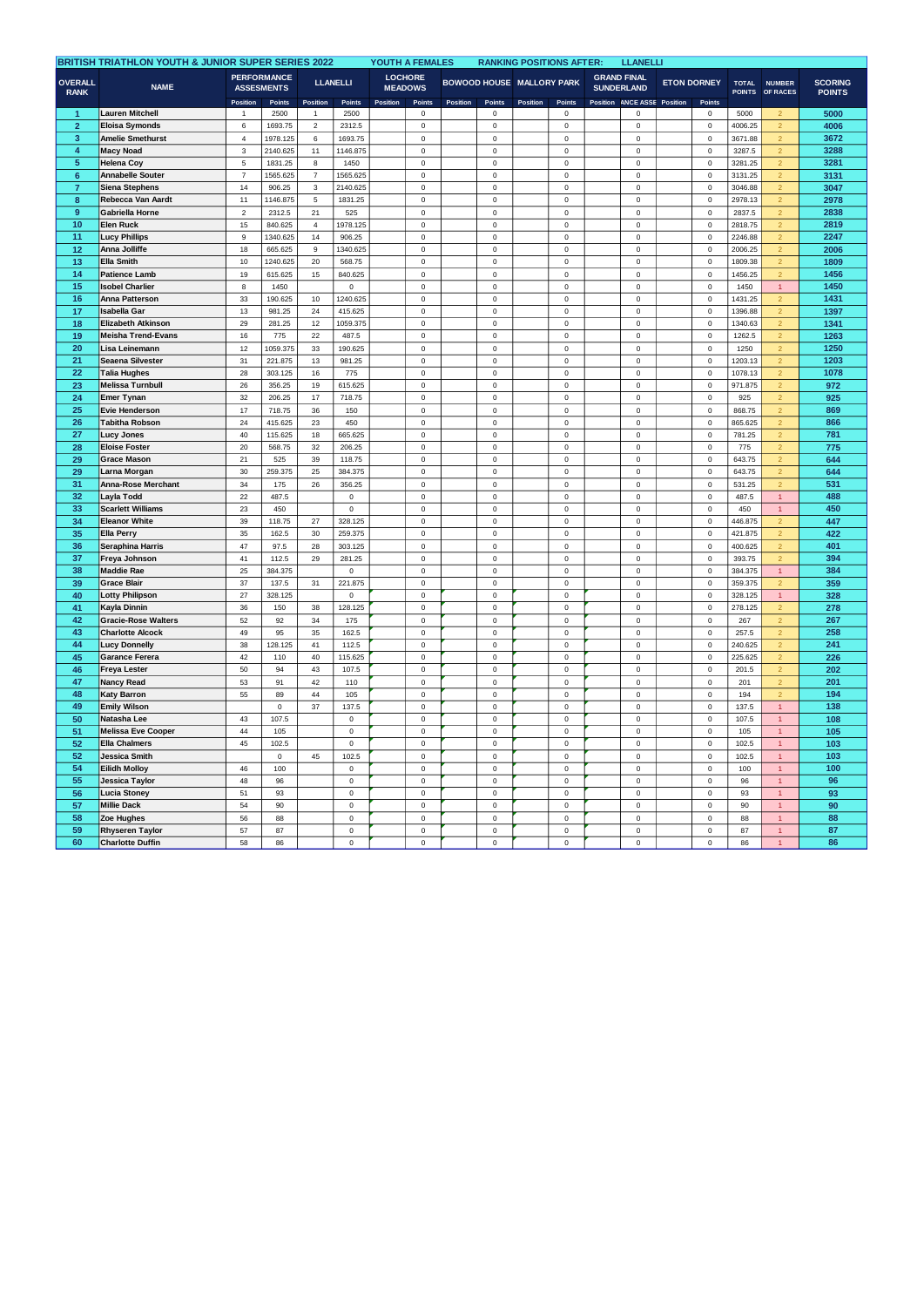| <b>BRITISH TRIATHLON YOUTH &amp; JUNIOR SUPER SERIES 2022</b> |                                    |                           |                                                   |                  |                            |          | YOUTH A FEMALES                            |          |                            |                                              | <b>RANKING POSITIONS AFTER:</b> |                                                     | <b>LLANELLI</b>            |                                |                            |                               |                                  |                                 |
|---------------------------------------------------------------|------------------------------------|---------------------------|---------------------------------------------------|------------------|----------------------------|----------|--------------------------------------------|----------|----------------------------|----------------------------------------------|---------------------------------|-----------------------------------------------------|----------------------------|--------------------------------|----------------------------|-------------------------------|----------------------------------|---------------------------------|
| <b>OVERALL</b><br><b>RANK</b>                                 | <b>NAME</b>                        | <b>Position</b>           | <b>PERFORMANCE</b><br><b>ASSESMENTS</b><br>Points | Position         | <b>LLANELLI</b><br>Points  | Position | <b>LOCHORE</b><br><b>MEADOWS</b><br>Points | Position | Points                     | <b>BOWOOD HOUSE MALLORY PARK</b><br>Position | Points                          | <b>GRAND FINAL</b><br><b>SUNDERLAND</b><br>Position | <b>ANCE ASSE</b>           | <b>ETON DORNEY</b><br>Position | Points                     | <b>TOTAL</b><br><b>POINTS</b> | <b>NUMBER</b><br>OF RACES        | <b>SCORING</b><br><b>POINTS</b> |
| -1                                                            | Lauren Mitchell                    | 1                         | 2500                                              | 1                | 2500                       |          | $\,0\,$                                    |          | 0                          |                                              | 0                               |                                                     | 0                          |                                | $^{\circ}$                 | 5000                          | $\overline{2}$                   | 5000                            |
| $\overline{2}$                                                | <b>Eloisa Symonds</b>              | 6                         | 1693.75                                           | $\mathbf 2$      | 2312.5                     |          | $\mathsf 0$                                |          | $\mathsf 0$                |                                              | $\mathsf 0$                     |                                                     | $\mathsf 0$                |                                | $\mathsf 0$                | 4006.25                       | $\overline{2}$                   | 4006                            |
| 3                                                             | Amelie Smethurst                   | $\sqrt{4}$                | 1978.125                                          | 6                | 1693.75                    |          | $\mathsf 0$                                |          | $\mathsf 0$                |                                              | $\mathsf 0$                     |                                                     | $\mathsf 0$                |                                | $\mathsf 0$                | 3671.88                       | $\overline{2}$                   | 3672                            |
| $\overline{\mathbf{4}}$                                       | <b>Macy Noad</b>                   | 3                         | 2140.625                                          | 11               | 1146.875                   |          | $\mathbf 0$                                |          | $\mathbf 0$                |                                              | $\mathbf 0$                     |                                                     | $\mathsf 0$                |                                | $\pmb{0}$                  | 3287.5                        | $\overline{\mathbf{2}}$          | 3288                            |
| 5                                                             | <b>Helena Coy</b>                  | $\mathbf 5$               | 1831.25                                           | $\bf8$           | 1450                       |          | $\pmb{0}$                                  |          | $\mathbf 0$                |                                              | $\mathbf 0$                     |                                                     | $\pmb{0}$                  |                                | $\pmb{0}$                  | 3281.25                       | $\overline{2}$                   | 3281                            |
| $6\phantom{a}$                                                | <b>Annabelle Souter</b>            | $\overline{\mathfrak{c}}$ | 1565.625                                          | $\boldsymbol{7}$ | 1565.625                   |          | $\mathbf 0$                                |          | 0                          |                                              | $\pmb{0}$                       |                                                     | $\mathsf 0$                |                                | $\pmb{0}$                  | 3131.25                       | $\overline{2}$                   | 3131                            |
| $\overline{7}$                                                | Siena Stephens                     | 14                        | 906.25                                            | $\mathsf 3$      | 2140.625                   |          | $\pmb{0}$                                  |          | $\mathbf 0$                |                                              | $\mathbf 0$                     |                                                     | $\mathsf 0$                |                                | $\mathbf 0$                | 3046.88                       | $\overline{\mathbf{2}}$          | 3047                            |
| 8                                                             | Rebecca Van Aardt                  | 11                        | 1146.875                                          | $\mathbf 5$      | 1831.25                    |          | $\pmb{0}$                                  |          | $\mathsf 0$                |                                              | $\pmb{0}$                       |                                                     | $\mathsf 0$                |                                | $\mathbf 0$                | 2978.13                       | $\overline{2}$                   | 2978                            |
| $\overline{9}$                                                | Gabriella Horne                    | $\overline{c}$            | 2312.5                                            | 21               | 525                        |          | $\pmb{0}$                                  |          | $\mathsf 0$                |                                              | $\mathsf 0$                     |                                                     | $\mathsf 0$                |                                | $\pmb{0}$                  | 2837.5                        | $\overline{2}$                   | 2838                            |
| 10                                                            | <b>Elen Ruck</b>                   | 15                        | 840.625                                           | $\bf{4}$         | 1978.125                   |          | $\bf 0$                                    |          | 0                          |                                              | $\pmb{0}$                       |                                                     | $\Omega$                   |                                | 0                          | 2818.75                       | $\overline{2}$                   | 2819                            |
| 11                                                            | <b>Lucy Phillips</b>               | $\overline{9}$            | 1340.625                                          | 14               | 906.25                     |          | $\mathbf 0$                                |          | $\mathsf 0$                |                                              | $\mathbf 0$                     |                                                     | $\mathsf 0$                |                                | $\pmb{0}$                  | 2246.88                       | $\overline{2}$                   | 2247                            |
| 12                                                            | Anna Jolliffe                      | 18                        | 665.625                                           | 9                | 1340.625                   |          | $\pmb{0}$                                  |          | $\mathbf 0$                |                                              | $\mathsf 0$                     |                                                     | $\mathsf 0$                |                                | $\pmb{0}$                  | 2006.25                       | $\overline{2}$                   | 2006                            |
| 13                                                            | <b>Ella Smith</b>                  | $10$                      | 1240.625                                          | 20               | 568.75                     |          | $\bf 0$                                    |          | 0                          |                                              | $\pmb{0}$                       |                                                     | $\Omega$                   |                                | $\mathbf 0$                | 1809.38                       | $\overline{2}$                   | 1809                            |
| 14                                                            | <b>Patience Lamb</b>               | 19                        | 615.625                                           | 15               | 840.625                    |          | $\mathsf 0$                                |          | 0                          |                                              | $\mathsf 0$                     |                                                     | $\mathsf 0$                |                                | $\mathsf 0$                | 1456.25                       | $\overline{2}$                   | 1456                            |
| 15                                                            | <b>Isobel Charlier</b>             | 8                         | 1450                                              |                  | $\mathbf 0$                |          | $\mathbf 0$                                |          | 0                          |                                              | $\pmb{0}$                       |                                                     | $\mathbf 0$                |                                | $\mathbf 0$                | 1450                          | $\mathbf{1}$                     | 1450                            |
| 16                                                            | Anna Patterson                     | 33                        | 190.625                                           | 10               | 1240.625                   |          | $\mathbf 0$                                |          | $\mathbf 0$                |                                              | $\mathsf 0$                     |                                                     | $\mathsf 0$                |                                | $\pmb{0}$                  | 1431.25                       | $\overline{2}$                   | 1431                            |
| 17                                                            | <b>Isabella Gar</b>                | 13                        | 981.25                                            | 24               | 415.625                    |          | $\mathsf 0$                                |          | $\mathsf 0$                |                                              | $\mathsf 0$                     |                                                     | $\mathsf 0$                |                                | $\pmb{0}$                  | 1396.88                       | $\overline{2}$                   | 1397                            |
| 18                                                            | Elizabeth Atkinson                 | 29                        | 281.25                                            | 12               | 1059.375                   |          | $\mathbf 0$                                |          | $\mathbf 0$                |                                              | $\pmb{0}$                       |                                                     | $\mathbf 0$                |                                | $\pmb{0}$                  | 1340.63                       | $\overline{2}$                   | 1341                            |
| 19                                                            | <b>Meisha Trend-Evans</b>          | 16                        | 775                                               | 22               | 487.5                      |          | $\mathsf 0$                                |          | 0                          |                                              | $\mathsf 0$                     |                                                     | $\Omega$                   |                                | $\pmb{0}$                  | 1262.5                        | $\overline{2}$                   | 1263                            |
| 20                                                            | Lisa Leinemann                     | 12                        | 1059.375                                          | 33               | 190.625                    |          | $\mathsf 0$                                |          | $\mathsf 0$                |                                              | $\mathsf 0$                     |                                                     | $\mathsf 0$                |                                | $\mathsf 0$                | 1250                          | $\overline{2}$                   | 1250                            |
| 21                                                            | Seaena Silvester                   | 31                        | 221.875                                           | 13               | 981.25                     |          | $\mathbf 0$                                |          | 0                          |                                              | $\pmb{0}$                       |                                                     | $\pmb{0}$                  |                                | $\pmb{0}$                  | 1203.13                       | $\overline{a}$                   | 1203                            |
| 22                                                            | Talia Hughes                       | 28                        | 303.125                                           | 16               | 775                        |          | $\mathbf 0$                                |          | $\mathsf{o}\xspace$        |                                              | $\mathbf 0$                     |                                                     | $\mathbf 0$                |                                | $\pmb{0}$                  | 1078.13                       | $\mathcal{P}$                    | 1078                            |
| 23                                                            | <b>Melissa Turnbull</b>            | 26                        | 356.25                                            | 19               | 615.625                    |          | $\pmb{0}$                                  |          | $\mathbf 0$                |                                              | $\mathbf 0$                     |                                                     | $\mathsf 0$                |                                | $\Omega$                   | 971.875                       | $\overline{2}$                   | 972                             |
| 24                                                            | Emer Tynan                         | 32                        | 206.25                                            | 17               | 718.75                     |          | $\mathbf 0$                                |          | $\mathsf 0$                |                                              | $\mathsf 0$                     |                                                     | $\mathsf 0$                |                                | $\pmb{0}$                  | 925                           | $\overline{2}$                   | 925                             |
| 25                                                            | <b>Evie Henderson</b>              | 17                        | 718.75                                            | 36               | 150                        |          | $\pmb{0}$                                  |          | $\mathsf 0$                |                                              | $\mathbf 0$                     |                                                     | $\Omega$                   |                                | $\pmb{0}$                  | 868.75                        | $\overline{2}$                   | 869                             |
| 26<br>27                                                      | <b>Tabitha Robson</b>              | $24\,$                    | 415.625                                           | 23               | 450                        |          | $\bf 0$<br>$\pmb{0}$                       |          | $\mathbf 0$<br>$\mathbf 0$ |                                              | $\mathbf 0$<br>$\mathbf 0$      |                                                     | $\mathbf 0$                |                                | $\pmb{0}$<br>$\mathbf 0$   | 865.625                       | $\overline{2}$<br>$\overline{2}$ | 866<br>781                      |
| 28                                                            | Lucy Jones                         | 40<br>20                  | 115.625<br>568.75                                 | 18               | 665.625                    |          | $\pmb{0}$                                  |          | $\mathbf 0$                |                                              | $\mathsf 0$                     |                                                     | $\mathbf 0$<br>$\mathsf 0$ |                                | $\pmb{0}$                  | 781.25<br>775                 | $\overline{2}$                   | 775                             |
| 29                                                            | <b>Eloise Foster</b>               | 21                        |                                                   | 32               | 206.25                     |          |                                            |          | $\mathbf 0$                |                                              | $\mathbf 0$                     |                                                     | $\mathbf 0$                |                                |                            |                               | $\overline{2}$                   | 644                             |
| 29                                                            | <b>Grace Mason</b><br>Larna Morgan | $30\,$                    | 525<br>259.375                                    | 39<br>25         | 118.75<br>384.375          |          | $\bf 0$<br>$\pmb{0}$                       |          | $\mathbf 0$                |                                              | $\pmb{0}$                       |                                                     | $\mathbf 0$                |                                | $\pmb{0}$<br>$\pmb{0}$     | 643.75<br>643.75              | $\overline{2}$                   | 644                             |
| 31                                                            | Anna-Rose Merchant                 | 34                        | 175                                               | 26               | 356.25                     |          | $\mathsf 0$                                |          | $\mathsf 0$                |                                              | $\mathsf 0$                     |                                                     | $\mathsf 0$                |                                | $\pmb{0}$                  | 531.25                        | $\overline{2}$                   | 531                             |
| 32                                                            | Layla Todd                         | 22                        | 487.5                                             |                  | $\mathsf 0$                |          | $\mathsf 0$                                |          | 0                          |                                              | $\mathsf 0$                     |                                                     | $\mathsf 0$                |                                | $\pmb{0}$                  | 487.5                         | $\mathbf{1}$                     | 488                             |
| 33                                                            | <b>Scarlett Williams</b>           | 23                        | 450                                               |                  | $\mathsf 0$                |          | $\pmb{0}$                                  |          | $\mathbf 0$                |                                              | $\mathbf 0$                     |                                                     | $\mathbf 0$                |                                | $\mathbf 0$                | 450                           | $\mathbf{1}$                     | 450                             |
| 34                                                            | <b>Eleanor White</b>               | 39                        | 118.75                                            | 27               | 328.125                    |          | $\mathbf 0$                                |          | $\mathbf 0$                |                                              | $\mathbf 0$                     |                                                     | $\mathbf 0$                |                                | $\mathbf 0$                | 446.875                       | $\overline{2}$                   | 447                             |
| 35                                                            | <b>Ella Perry</b>                  | 35                        | 162.5                                             | 30               | 259.375                    |          | $\mathbf 0$                                |          | 0                          |                                              | $\mathsf 0$                     |                                                     | $\mathsf 0$                |                                | $\pmb{0}$                  | 421.875                       | $\overline{2}$                   | 422                             |
| 36                                                            | Seraphina Harris                   | 47                        | 97.5                                              | 28               | 303.125                    |          | $\mathbf 0$                                |          | $\mathsf 0$                |                                              | $\mathbf 0$                     |                                                     | $\mathsf 0$                |                                | $\mathbf 0$                | 400.625                       | $\overline{2}$                   | 401                             |
| 37                                                            | Freya Johnson                      | 41                        | 112.5                                             | 29               | 281.25                     |          | $\pmb{0}$                                  |          | $\mathbf 0$                |                                              | $\mathbf 0$                     |                                                     | $\mathbf 0$                |                                | $\pmb{0}$                  | 393.75                        | $\overline{2}$                   | 394                             |
| 38                                                            | <b>Maddie Rae</b>                  | 25                        | 384.375                                           |                  | $\mathsf 0$                |          | $\mathsf 0$                                |          | 0                          |                                              | $\mathsf 0$                     |                                                     | $\mathsf 0$                |                                | $\mathbf 0$                | 384.375                       | $\overline{1}$                   | 384                             |
| 39                                                            | <b>Grace Blair</b>                 | 37                        | 137.5                                             | 31               | 221.875                    |          | $\mathbf 0$                                |          | $\mathsf 0$                |                                              | $\mathbf 0$                     |                                                     | $\pmb{0}$                  |                                | $\Omega$                   | 359.375                       |                                  | 359                             |
| 40                                                            | Lotty Philipson                    | 27                        | 328.125                                           |                  | $\mathsf 0$                |          | $\mathsf 0$                                |          | $\mathsf 0$                |                                              | $\mathsf 0$                     |                                                     | $\mathsf 0$                |                                | $\pmb{0}$                  | 328.125                       | $\mathbf{1}$                     | 328                             |
| 41                                                            | Kayla Dinnin                       | 36                        | 150                                               | 38               | 128.125                    |          | $\pmb{0}$                                  |          | $\mathbf 0$                |                                              | $\mathsf 0$                     |                                                     | $\mathbf 0$                |                                | $\pmb{0}$                  | 278.125                       | $\overline{2}$                   | 278                             |
| 42                                                            | <b>Gracie-Rose Walters</b>         | 52                        | 92                                                | 34               | 175                        |          | $\mathbf 0$                                |          | $\mathbf 0$                |                                              | $\mathbf 0$                     |                                                     | $\pmb{0}$                  |                                | $\pmb{0}$                  | 267                           | $\overline{2}$                   | 267                             |
| 43                                                            | <b>Charlotte Alcock</b>            | 49                        | 95                                                | 35               | 162.5                      |          | $\mathsf 0$                                |          | 0                          |                                              | $\mathsf 0$                     |                                                     | $\mathsf 0$                |                                | $\pmb{0}$                  | 257.5                         |                                  | 258                             |
| 44                                                            | <b>Lucy Donnelly</b>               | 38                        | 128.125                                           | 41               | 112.5                      |          | $\mathbf 0$                                |          | 0                          |                                              | $\mathbf 0$                     |                                                     | $\mathsf 0$                |                                | $\mathbf 0$                | 240.625                       | $\overline{a}$                   | 241                             |
| 45                                                            | <b>Garance Ferera</b>              | 42                        | 110                                               | 40               | 115.625                    |          | $\mathbf 0$                                |          | $\mathbf 0$                |                                              | $\mathbf 0$                     |                                                     | $\pmb{0}$                  |                                | $\pmb{0}$                  | 225.625                       |                                  | 226                             |
| 46                                                            | <b>Freya Lester</b>                | 50                        | 94                                                | 43               | 107.5                      |          | $\mathsf 0$                                |          | $\mathbf 0$                |                                              | $\mathbf 0$                     |                                                     | $\mathsf 0$                |                                | $\mathsf 0$                | 201.5                         | $\overline{2}$                   | 202                             |
| 47                                                            | Nancy Read                         | 53                        | 91                                                | 42               | 110                        |          | $\mathbf 0$                                |          | 0                          |                                              | $\mathbf 0$                     |                                                     | $\mathbf 0$                |                                | $\mathbf 0$                | 201                           | $\overline{a}$                   | 201                             |
| 48                                                            | Katy Barron                        | 55                        | 89                                                | 44               | 105                        |          | $\mathsf 0$                                |          | $\mathsf 0$                |                                              | $\mathsf 0$                     |                                                     | $\mathsf 0$                |                                | $\pmb{0}$                  | 194                           | $\overline{2}$                   | 194                             |
| 49                                                            | <b>Emily Wilson</b>                |                           | $\pmb{0}$                                         | 37               | 137.5                      |          | $\mathbf 0$                                |          | $\mathbf 0$                |                                              | $\mathbf 0$                     |                                                     | $\mathbf 0$                |                                | $\pmb{0}$                  | 137.5                         | $\mathbf{1}$                     | 138                             |
| 50                                                            | Natasha Lee                        | 43                        | 107.5                                             |                  | $\mathbf 0$                |          | $\mathbf 0$                                |          | 0                          |                                              | $\pmb{0}$                       |                                                     | $\mathsf 0$                |                                | $\mathbf 0$                | 107.5                         | $\mathbf{1}$                     | 108                             |
| 51                                                            | <b>Melissa Eve Cooper</b>          | 44                        | 105                                               |                  | $\mathsf 0$                |          | $\mathbf 0$                                |          | $\mathbf 0$                |                                              | $\pmb{0}$                       |                                                     | $\mathsf 0$                |                                | $\mathsf 0$                | 105                           | $\mathbf{1}$                     | 105                             |
| 52                                                            | <b>Ella Chalmers</b>               | 45                        | 102.5                                             |                  | $\mathsf 0$                |          | $\mathbf 0$                                |          | $\mathbf 0$                |                                              | $\mathbf 0$                     |                                                     | $\mathbf 0$                |                                | $\pmb{0}$                  | 102.5                         |                                  | 103                             |
| 52                                                            | <b>Jessica Smith</b>               |                           | $\mathbf 0$                                       | 45               | 102.5                      |          | $\mathsf 0$                                |          | $\mathbf 0$                |                                              | $\mathsf 0$                     |                                                     | $\mathsf 0$                |                                | $\mathsf 0$                | 102.5                         | $\overline{1}$                   | 103                             |
| 54                                                            | <b>Eilidh Molloy</b>               | 46                        | 100                                               |                  | $\mathsf 0$                |          | $\pmb{0}$                                  |          | $\mathbf 0$                |                                              | $\mathbf 0$                     |                                                     | $\mathsf 0$                |                                | $\pmb{0}$                  | 100                           | $\mathbf{1}$                     | 100                             |
| 55                                                            | Jessica Taylor                     | 48                        | 96                                                |                  | $\mathsf 0$                |          | $\mathbf 0$                                |          | $\mathbf 0$                |                                              | $\mathbf 0$                     |                                                     | $\mathsf 0$                |                                | $\Omega$                   | 96                            |                                  | 96                              |
| 56<br>57                                                      | Lucia Stoney<br><b>Millie Dack</b> | 51<br>54                  | 93<br>90                                          |                  | $\mathbf 0$<br>$\mathsf 0$ |          | $\mathsf 0$<br>$\pmb{0}$                   |          | 0<br>$\mathsf 0$           |                                              | $\mathsf 0$<br>$\mathbf 0$      |                                                     | $\mathbf 0$<br>$\mathsf 0$ |                                | $\mathbf 0$<br>$\mathsf 0$ | 93<br>90                      | $\overline{1}$<br>$\mathbf{1}$   | 93<br>90                        |
| 58                                                            | Zoe Hughes                         | 56                        | 88                                                |                  | $\mathsf 0$                |          | $\mathbf 0$                                |          | $\mathbf 0$                |                                              | $\mathbf 0$                     |                                                     | $\mathsf 0$                |                                | $\mathbf 0$                | 88                            |                                  | 88                              |
| 59                                                            | <b>Rhyseren Taylor</b>             | 57                        | 87                                                |                  | $\mathbf 0$                |          | $\mathbf 0$                                |          | 0                          |                                              | $\mathsf 0$                     |                                                     | $\mathbf 0$                |                                | $\mathbf 0$                | 87                            | $\mathbf{1}$                     | 87                              |
| 60                                                            | <b>Charlotte Duffin</b>            | 58                        | 86                                                |                  | $\mathsf 0$                |          | $\mathsf 0$                                |          | $\mathsf 0$                |                                              | $\mathsf 0$                     |                                                     | $\mathsf 0$                |                                | $\mathsf 0$                | 86                            | $\overline{1}$                   | 86                              |
|                                                               |                                    |                           |                                                   |                  |                            |          |                                            |          |                            |                                              |                                 |                                                     |                            |                                |                            |                               |                                  |                                 |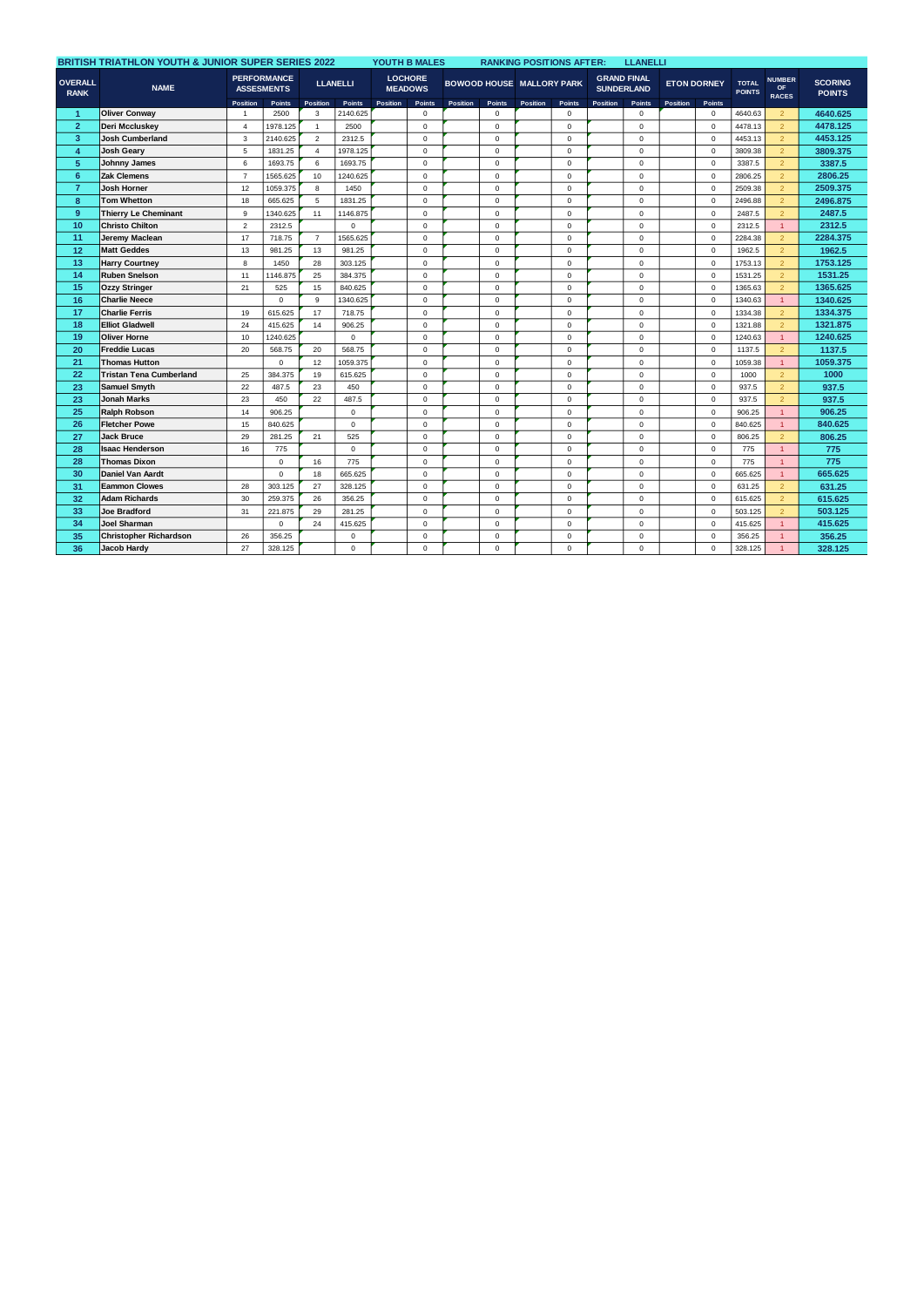|                                              | <b>BRITISH TRIATHLON YOUTH &amp; JUNIOR SUPER SERIES 2022</b> |                 |                                         |                 |               |          | YOUTH B MALES                    |          | <b>RANKING POSITIONS AFTER:</b>  |          |             |                   | <b>LLANELLI</b>    |                    |              |                               |                                            |                                 |
|----------------------------------------------|---------------------------------------------------------------|-----------------|-----------------------------------------|-----------------|---------------|----------|----------------------------------|----------|----------------------------------|----------|-------------|-------------------|--------------------|--------------------|--------------|-------------------------------|--------------------------------------------|---------------------------------|
| <b>OVERALL</b><br><b>NAME</b><br><b>RANK</b> |                                                               |                 | <b>PERFORMANCE</b><br><b>ASSESMENTS</b> | <b>LLANELLI</b> |               |          | <b>LOCHORE</b><br><b>MEADOWS</b> |          | <b>BOWOOD HOUSE MALLORY PARK</b> |          |             | <b>SUNDERLAND</b> | <b>GRAND FINAL</b> | <b>ETON DORNEY</b> |              | <b>TOTAL</b><br><b>POINTS</b> | <b>NUMBER</b><br><b>OF</b><br><b>RACES</b> | <b>SCORING</b><br><b>POINTS</b> |
|                                              |                                                               | <b>Position</b> | <b>Points</b>                           | <b>Position</b> | <b>Points</b> | Position | Points                           | Position | <b>Points</b>                    | Position | Points      | Position          | <b>Points</b>      | Position           | Points       |                               |                                            |                                 |
| 1                                            | <b>Oliver Conwav</b>                                          | $\overline{1}$  | 2500                                    | 3               | 2140.625      |          | $\mathbf 0$                      |          | $\mathbf 0$                      |          | $^{\circ}$  |                   | $\mathbf 0$        |                    | $\mathbf 0$  | 4640.63                       | $\overline{2}$                             | 4640.625                        |
| $\overline{2}$                               | Deri Mccluskey                                                | $\overline{4}$  | 1978.125                                | $\mathbf{1}$    | 2500          |          | $\mathsf 0$                      |          | $\mathbf 0$                      |          | $\mathbf 0$ |                   | $\mathbf 0$        |                    | $\mathbf 0$  | 4478.13                       | $\overline{2}$                             | 4478.125                        |
| $\overline{3}$                               | <b>Josh Cumberland</b>                                        | 3               | 2140.625                                | $\overline{2}$  | 2312.5        |          | $\mathbf 0$                      |          | 0                                |          | $\mathbf 0$ |                   | $\mathbf 0$        |                    | $\mathbf 0$  | 4453.13                       | $\overline{2}$                             | 4453.125                        |
| 4                                            | <b>Josh Geary</b>                                             | 5               | 1831.25                                 | $\overline{4}$  | 1978.125      |          | $\mathbf 0$                      |          | 0                                |          | $\mathbf 0$ |                   | $\mathbf 0$        |                    | $\mathbf 0$  | 3809.38                       | $\overline{2}$                             | 3809.375                        |
| 5 <sup>5</sup>                               | Johnny James                                                  | 6               | 1693.75                                 | 6               | 1693.75       |          | $\mathbf 0$                      |          | 0                                |          | $\mathbf 0$ |                   | $\mathbf 0$        |                    | $\mathbf 0$  | 3387.5                        | $\overline{2}$                             | 3387.5                          |
| $6\phantom{1}$                               | <b>Zak Clemens</b>                                            | $\overline{7}$  | 1565.625                                | 10              | 1240.625      |          | $\mathbf 0$                      |          | $\mathbf 0$                      |          | $\mathbf 0$ |                   | $\mathbf 0$        |                    | $\mathbf 0$  | 2806.25                       | $\overline{2}$                             | 2806.25                         |
| $\overline{7}$                               | <b>Josh Horner</b>                                            | 12              | 1059.375                                | 8               | 1450          |          | $\Omega$                         |          | $\mathbf 0$                      |          | $\Omega$    |                   | $\Omega$           |                    | $\Omega$     | 2509.38                       | $\overline{2}$                             | 2509.375                        |
| 8                                            | <b>Tom Whetton</b>                                            | 18              | 665.625                                 | 5               | 1831.25       |          | $\mathbf 0$                      |          | $\mathbf 0$                      |          | $\mathbf 0$ |                   | $\Omega$           |                    | $\mathbf 0$  | 2496.88                       | $\overline{2}$                             | 2496.875                        |
| 9                                            | <b>Thierry Le Cheminant</b>                                   | 9               | 1340.625                                | 11              | 1146.875      |          | $\mathbf 0$                      |          | $\mathbf 0$                      |          | $\mathbf 0$ |                   | $\mathbf 0$        |                    | $\mathbf 0$  | 2487.5                        | $\overline{2}$                             | 2487.5                          |
| 10                                           | <b>Christo Chilton</b>                                        | $\overline{2}$  | 2312.5                                  |                 | $\mathbf 0$   |          | $\mathbf 0$                      |          | $\mathbf 0$                      |          | $\mathbf 0$ |                   | 0                  |                    | $\mathbf 0$  | 2312.5                        | $\mathbf{1}$                               | 2312.5                          |
| 11                                           | Jeremy Maclean                                                | 17              | 718.75                                  | $\overline{7}$  | 1565.625      |          | $\mathbf 0$                      |          | $\Omega$                         |          | $\Omega$    |                   | $\mathbf 0$        |                    | $\Omega$     | 2284.38                       | $\overline{2}$                             | 2284.375                        |
| 12                                           | <b>Matt Geddes</b>                                            | 13              | 981.25                                  | 13              | 981.25        |          | $\mathbf 0$                      |          | $\mathbf 0$                      |          | $\mathbf 0$ |                   | $\mathbf 0$        |                    | $\mathbf 0$  | 1962.5                        | $\overline{2}$                             | 1962.5                          |
| 13                                           | <b>Harry Courtney</b>                                         | 8               | 1450                                    | 28              | 303.125       |          | $\mathbf 0$                      |          | 0                                |          | $\mathbf 0$ |                   | $\Omega$           |                    | $\mathbf 0$  | 1753.13                       | $\overline{2}$                             | 1753.125                        |
| 14                                           | <b>Ruben Snelson</b>                                          | 11              | 1146.875                                | 25              | 384.375       |          | $\mathbf 0$                      |          | $\mathbf 0$                      |          | $\mathbf 0$ |                   | 0                  |                    | $\mathbf 0$  | 1531.25                       | $\overline{2}$                             | 1531.25                         |
| 15                                           | <b>Ozzy Stringer</b>                                          | 21              | 525                                     | 15              | 840.625       |          | $\mathbf 0$                      |          | $\mathbf 0$                      |          | $\mathbf 0$ |                   | $\Omega$           |                    | $\mathbf 0$  | 1365.63                       | $\overline{2}$                             | 1365.625                        |
| 16                                           | <b>Charlie Neece</b>                                          |                 | $\Omega$                                | 9               | 1340.625      |          | $\mathbf 0$                      |          | $\mathbf 0$                      |          | $\mathbf 0$ |                   | $\mathbf 0$        |                    | $\mathbf 0$  | 1340.63                       | $\mathbf{1}$                               | 1340.625                        |
| 17                                           | <b>Charlie Ferris</b>                                         | 19              | 615.625                                 | 17              | 718.75        |          | $\mathbf 0$                      |          | $\mathbf 0$                      |          | $\mathbf 0$ |                   | $\mathbf 0$        |                    | $\mathbf 0$  | 1334.38                       | $\overline{2}$                             | 1334.375                        |
| 18                                           | <b>Elliot Gladwell</b>                                        | 24              | 415.625                                 | 14              | 906.25        |          | $\mathbf 0$                      |          | $\Omega$                         |          | $\Omega$    |                   | $\mathbf 0$        |                    | $\Omega$     | 1321.88                       | $\overline{2}$                             | 1321.875                        |
| 19                                           | <b>Oliver Horne</b>                                           | 10              | 1240.625                                |                 | $\mathbf 0$   |          | $\mathbf 0$                      |          | 0                                |          | $\mathbf 0$ |                   | $\mathbf 0$        |                    | $\mathbf 0$  | 1240.63                       | $\mathbf{1}$                               | 1240.625                        |
| 20                                           | <b>Freddie Lucas</b>                                          | 20              | 568.75                                  | 20              | 568.75        |          | $\mathbf 0$                      |          | $\mathbf 0$                      |          | $\mathbf 0$ |                   | $\mathbf 0$        |                    | $\mathbf 0$  | 1137.5                        | $\overline{2}$                             | 1137.5                          |
| 21                                           | Thomas Hutton                                                 |                 | $\mathbf 0$                             | 12              | 1059.375      |          | $\mathbf 0$                      |          | $\mathbf 0$                      |          | $^{\circ}$  |                   | $\mathbf 0$        |                    | $\mathbf 0$  | 1059.38                       | $\mathbf{1}$                               | 1059.375                        |
| 22                                           | <b>Tristan Tena Cumberland</b>                                | 25              | 384.375                                 | 19              | 615.625       |          | $\mathbf 0$                      |          | $\mathbf 0$                      |          | $\mathbf 0$ |                   | $\mathbf 0$        |                    | $\mathbf{0}$ | 1000                          | $\overline{2}$                             | 1000                            |
| 23                                           | <b>Samuel Smyth</b>                                           | 22              | 487.5                                   | 23              | 450           |          | $\mathbf 0$                      |          | 0                                |          | $\Omega$    |                   | $\Omega$           |                    | $\mathbf 0$  | 937.5                         | $\overline{2}$                             | 937.5                           |
| 23                                           | Jonah Marks                                                   | 23              | 450                                     | 22              | 487.5         |          | $\mathbf 0$                      |          | $\mathbf 0$                      |          | $\mathbf 0$ |                   | $\mathbf 0$        |                    | $\mathbf 0$  | 937.5                         | $\overline{2}$                             | 937.5                           |
| 25                                           | <b>Ralph Robson</b>                                           | 14              | 906.25                                  |                 | $\mathbf 0$   |          | $\mathsf 0$                      |          | $\mathbf 0$                      |          | $\mathbf 0$ |                   | 0                  |                    | $\mathbf 0$  | 906.25                        | $\mathbf{1}$                               | 906.25                          |
| 26                                           | <b>Fletcher Powe</b>                                          | 15              | 840.625                                 |                 | $\mathbf{0}$  |          | $\mathbf 0$                      |          | 0                                |          | $\mathbf 0$ |                   | 0                  |                    | $\mathbf 0$  | 840.625                       | $\mathbf{1}$                               | 840.625                         |
| 27                                           | <b>Jack Bruce</b>                                             | 29              | 281.25                                  | 21              | 525           |          | $\mathsf 0$                      |          | $\mathbf 0$                      |          | $\mathbf 0$ |                   | $\mathbf 0$        |                    | $\mathbf 0$  | 806.25                        | $\overline{2}$                             | 806.25                          |
| 28                                           | <b>Isaac Henderson</b>                                        | 16              | 775                                     |                 | $\mathbf 0$   |          | $\mathbf 0$                      |          | $\mathbf 0$                      |          | $\mathbf 0$ |                   | $\mathbf 0$        |                    | $\mathbf 0$  | 775                           | $\mathbf{1}$                               | 775                             |
| 28                                           | <b>Thomas Dixon</b>                                           |                 | $\mathbf 0$                             | 16              | 775           |          | $\mathsf 0$                      |          | 0                                |          | $\mathbf 0$ |                   | 0                  |                    | $\mathbf 0$  | 775                           | $\mathbf{1}$                               | 775                             |
| 30                                           | Daniel Van Aardt                                              |                 | $\mathbf 0$                             | 18              | 665.625       |          | $\mathbf 0$                      |          | 0                                |          | $^{\circ}$  |                   | 0                  |                    | $^{\circ}$   | 665.625                       | $\mathbf{1}$                               | 665.625                         |
| 31                                           | <b>Eammon Clowes</b>                                          | 28              | 303.125                                 | 27              | 328.125       |          | $\mathbf 0$                      |          | $\mathbf 0$                      |          | $^{\circ}$  |                   | $\mathbf 0$        |                    | $\mathbf 0$  | 631.25                        | $\overline{2}$                             | 631.25                          |
| 32                                           | <b>Adam Richards</b>                                          | 30              | 259.375                                 | 26              | 356.25        |          | $\mathbf 0$                      |          | $\mathbf 0$                      |          | $\mathbf 0$ |                   | $\mathbf 0$        |                    | $\mathbf 0$  | 615.625                       | $\overline{2}$                             | 615.625                         |
| 33                                           | <b>Joe Bradford</b>                                           | 31              | 221.875                                 | 29              | 281.25        |          | $\mathsf 0$                      |          | $\mathbf 0$                      |          | $\mathbf 0$ |                   | $\mathsf 0$        |                    | $\mathbf 0$  | 503.125                       | $\overline{2}$                             | 503.125                         |
| 34                                           | Joel Sharman                                                  |                 | $\mathbf 0$                             | 24              | 415.625       |          | $\mathsf 0$                      |          | 0                                |          | $\mathbf 0$ |                   | $\mathbf 0$        |                    | $\mathbf 0$  | 415.625                       | $\mathbf{1}$                               | 415.625                         |
| 35                                           | <b>Christopher Richardson</b>                                 | 26              | 356.25                                  |                 | $\mathbf{0}$  |          | $\mathbf 0$                      |          | 0                                |          | $\mathbf 0$ |                   | $\mathbf 0$        |                    | $\mathbf 0$  | 356.25                        |                                            | 356.25                          |
| 36                                           | <b>Jacob Hardv</b>                                            | 27              | 328.125                                 |                 | $\Omega$      |          | $\Omega$                         |          | $\Omega$                         |          | $\mathbf 0$ |                   | $\Omega$           |                    | $\Omega$     | 328.125                       | $\overline{1}$                             | 328.125                         |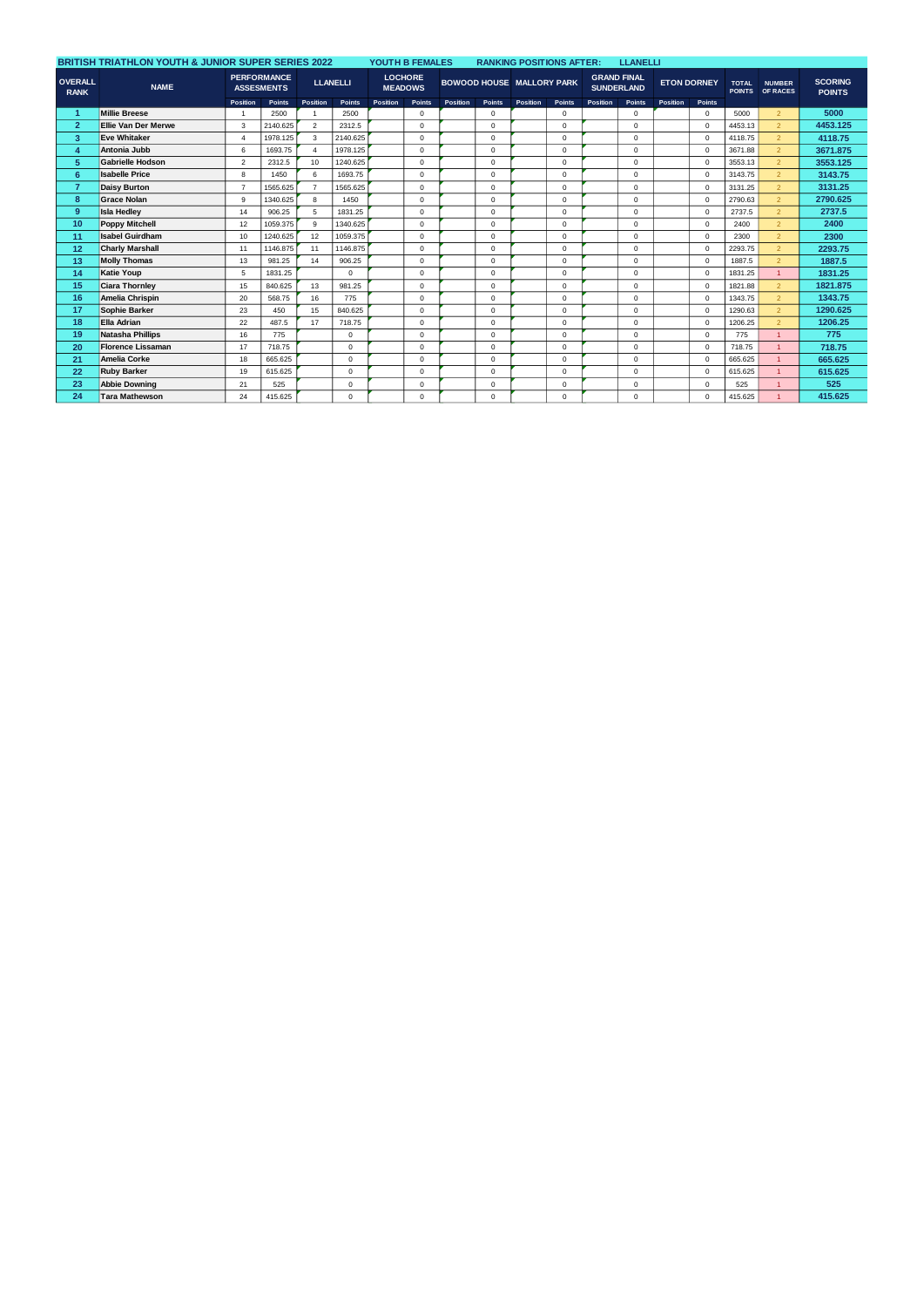|                               | <b>BRITISH TRIATHLON YOUTH &amp; JUNIOR SUPER SERIES 2022</b> |                                         |          | YOUTH B FEMALES         |                 | <b>RANKING POSITIONS AFTER:</b> |                                  |          | <b>LLANELLI</b>                  |          |          |                                         |             |                    |              |                               |                                  |                                 |
|-------------------------------|---------------------------------------------------------------|-----------------------------------------|----------|-------------------------|-----------------|---------------------------------|----------------------------------|----------|----------------------------------|----------|----------|-----------------------------------------|-------------|--------------------|--------------|-------------------------------|----------------------------------|---------------------------------|
| <b>OVERALL</b><br><b>RANK</b> | <b>NAME</b>                                                   | <b>PERFORMANCE</b><br><b>ASSESMENTS</b> |          |                         | <b>LLANELLI</b> |                                 | <b>LOCHORE</b><br><b>MEADOWS</b> |          | <b>BOWOOD HOUSE MALLORY PARK</b> |          |          | <b>GRAND FINAL</b><br><b>SUNDERLAND</b> |             | <b>ETON DORNEY</b> |              | <b>TOTAL</b><br><b>POINTS</b> | <b>NUMBER</b><br><b>OF RACES</b> | <b>SCORING</b><br><b>POINTS</b> |
|                               |                                                               | Position                                | Points   | Position                | Points          | Position                        | Points                           | Position | <b>Points</b>                    | Position | Points   | Position                                | Points      | <b>Position</b>    | Points       |                               |                                  |                                 |
| -1                            | <b>Millie Breese</b>                                          | $\overline{1}$                          | 2500     |                         | 2500            |                                 | $\Omega$                         |          | $\mathbf 0$                      |          | $\Omega$ |                                         | $\Omega$    |                    | $\mathbf{0}$ | 5000                          | $\mathcal{P}$                    | 5000                            |
| $\overline{2}$                | Ellie Van Der Merwe                                           | 3                                       | 2140.625 | $\overline{2}$          | 2312.5          |                                 | $\Omega$                         |          | $\mathbf 0$                      |          | $\Omega$ |                                         | $\Omega$    |                    | $^{\circ}$   | 4453.13                       | $\overline{2}$                   | 4453.125                        |
| 3                             | <b>Eve Whitaker</b>                                           | $\overline{4}$                          | 1978.125 | $\overline{\mathbf{3}}$ | 2140.625        |                                 | $\Omega$                         |          | $\mathbf 0$                      |          | 0        |                                         | $\Omega$    |                    | $\mathbf 0$  | 4118.75                       | $\mathcal{P}$                    | 4118.75                         |
| 4                             | Antonia Jubb                                                  | 6                                       | 1693.75  |                         | 1978.125        |                                 | $\Omega$                         |          | $\mathbf 0$                      |          | 0        |                                         | $\mathbf 0$ |                    | $\mathbf 0$  | 3671.88                       | $\overline{2}$                   | 3671.875                        |
| 5                             | <b>Gabrielle Hodson</b>                                       | $\overline{2}$                          | 2312.5   | 10                      | 1240.625        |                                 | $\Omega$                         |          | $\mathbf 0$                      |          | 0        |                                         | $\mathbf 0$ |                    | $^{\circ}$   | 3553.13                       | $\overline{2}$                   | 3553.125                        |
| 6                             | <b>Isabelle Price</b>                                         | 8                                       | 1450     | 6                       | 1693.75         |                                 | $\Omega$                         |          | $\mathbf 0$                      |          | $\Omega$ |                                         | $\Omega$    |                    | $\mathbf 0$  | 3143.75                       | $\mathcal{P}$                    | 3143.75                         |
| $\overline{7}$                | <b>Daisy Burton</b>                                           | $\overline{7}$                          | 1565.625 | $\overline{7}$          | 1565.625        |                                 | $\Omega$                         |          | $\mathbf 0$                      |          | 0        |                                         | $\mathbf 0$ |                    | $\mathbf 0$  | 3131.25                       | 2 <sup>1</sup>                   | 3131.25                         |
| 8                             | <b>Grace Nolan</b>                                            | 9                                       | 1340.625 | 8                       | 1450            |                                 | $\Omega$                         |          | $\mathbf 0$                      |          | $\Omega$ |                                         | $\Omega$    |                    | $^{\circ}$   | 2790.63                       | $\mathcal{P}$                    | 2790.625                        |
| $9^{\circ}$                   | <b>Isla Hedlev</b>                                            | 14                                      | 906.25   | 5                       | 1831.25         |                                 | $\Omega$                         |          | $\mathbf 0$                      |          | 0        |                                         | $\Omega$    |                    | $\mathbf 0$  | 2737.5                        | $\mathcal{P}$                    | 2737.5                          |
| 10 <sup>10</sup>              | <b>Poppy Mitchell</b>                                         | 12                                      | 1059.375 | 9                       | 1340.625        |                                 | $\Omega$                         |          | $\mathbf 0$                      |          | 0        |                                         | $\mathbf 0$ |                    | $\mathbf 0$  | 2400                          | $\overline{2}$                   | 2400                            |
| 11                            | <b>Isabel Guirdham</b>                                        | 10                                      | 1240.625 | 12                      | 1059.375        |                                 | $\Omega$                         |          | $\mathbf 0$                      |          | $\Omega$ |                                         | $\Omega$    |                    | $^{\circ}$   | 2300                          | $\overline{2}$                   | 2300                            |
| 12                            | <b>Charly Marshall</b>                                        | 11                                      | 1146.875 | 11                      | 1146,875        |                                 | $\Omega$                         |          | $\mathbf 0$                      |          | 0        |                                         | $\Omega$    |                    | $\mathbf 0$  | 2293.75                       | $\overline{2}$                   | 2293.75                         |
| 13                            | <b>Molly Thomas</b>                                           | 13                                      | 981.25   | 14                      | 906.25          |                                 | $\Omega$                         |          | $\mathbf 0$                      |          | $\Omega$ |                                         | $\Omega$    |                    | $\mathbf 0$  | 1887.5                        | $\mathcal{P}$                    | 1887.5                          |
| 14                            | <b>Katie Youp</b>                                             | 5                                       | 1831.25  |                         | $\Omega$        |                                 | $\Omega$                         |          | $\mathbf 0$                      |          | $\Omega$ |                                         | $\Omega$    |                    | $^{\circ}$   | 1831.25                       |                                  | 1831.25                         |
| 15                            | <b>Ciara Thornley</b>                                         | 15                                      | 840.625  | 13                      | 981.25          |                                 | $\Omega$                         |          | $\mathbf 0$                      |          | 0        |                                         | $\Omega$    |                    | $\mathbf 0$  | 1821.88                       | $\mathcal{P}$                    | 1821.875                        |
| 16                            | Amelia Chrispin                                               | 20                                      | 568.75   | 16                      | 775             |                                 | $\Omega$                         |          | $\mathbf 0$                      |          | $\Omega$ |                                         | $\Omega$    |                    | $\mathbf 0$  | 1343.75                       | $\overline{2}$                   | 1343.75                         |
| 17                            | Sophie Barker                                                 | 23                                      | 450      | 15                      | 840.625         |                                 | $\Omega$                         |          | $\mathbf 0$                      |          | $\Omega$ |                                         | $\Omega$    |                    | $^{\circ}$   | 1290.63                       | $\overline{2}$                   | 1290.625                        |
| 18                            | Ella Adrian                                                   | 22                                      | 487.5    | 17                      | 718.75          |                                 | $\Omega$                         |          | $\mathbf 0$                      |          | $\Omega$ |                                         | $\Omega$    |                    | $\mathbf 0$  | 1206.25                       | $\mathcal{P}$                    | 1206.25                         |
| 19                            | Natasha Phillips                                              | 16                                      | 775      |                         | $^{\circ}$      |                                 | $\Omega$                         |          | $\mathbf 0$                      |          | 0        |                                         | $\mathbf 0$ |                    | $\mathbf 0$  | 775                           | $\mathbf{1}$                     | 775                             |
| 20                            | <b>Florence Lissaman</b>                                      | 17                                      | 718.75   |                         | $\mathbf 0$     |                                 | $\Omega$                         |          | $\mathbf 0$                      |          | 0        |                                         | $\Omega$    |                    | $\mathbf 0$  | 718.75                        |                                  | 718.75                          |
| 21                            | Amelia Corke                                                  | 18                                      | 665.625  |                         | $\mathbf 0$     |                                 | $\Omega$                         |          | $\mathbf 0$                      |          | 0        |                                         | $\mathbf 0$ |                    | $\mathbf 0$  | 665.625                       |                                  | 665.625                         |
| 22                            | <b>Ruby Barker</b>                                            | 19                                      | 615.625  |                         | $^{\circ}$      |                                 | $\Omega$                         |          | $\mathbf 0$                      |          | $\Omega$ |                                         | $\Omega$    |                    | $\mathbf{0}$ | 615.625                       | $\overline{A}$                   | 615.625                         |
| 23                            | <b>Abbie Downing</b>                                          | 21                                      | 525      |                         | $\mathbf 0$     |                                 | $\Omega$                         |          | $\mathbf 0$                      |          | $\Omega$ |                                         | $\Omega$    |                    | $\mathbf 0$  | 525                           |                                  | 525                             |
| 24                            | <b>Tara Mathewson</b>                                         | 24                                      | 415.625  |                         | $\mathbf 0$     |                                 | $\Omega$                         |          | $\mathbf 0$                      |          | $\Omega$ |                                         | $\Omega$    |                    | $\mathbf 0$  | 415.625                       |                                  | 415.625                         |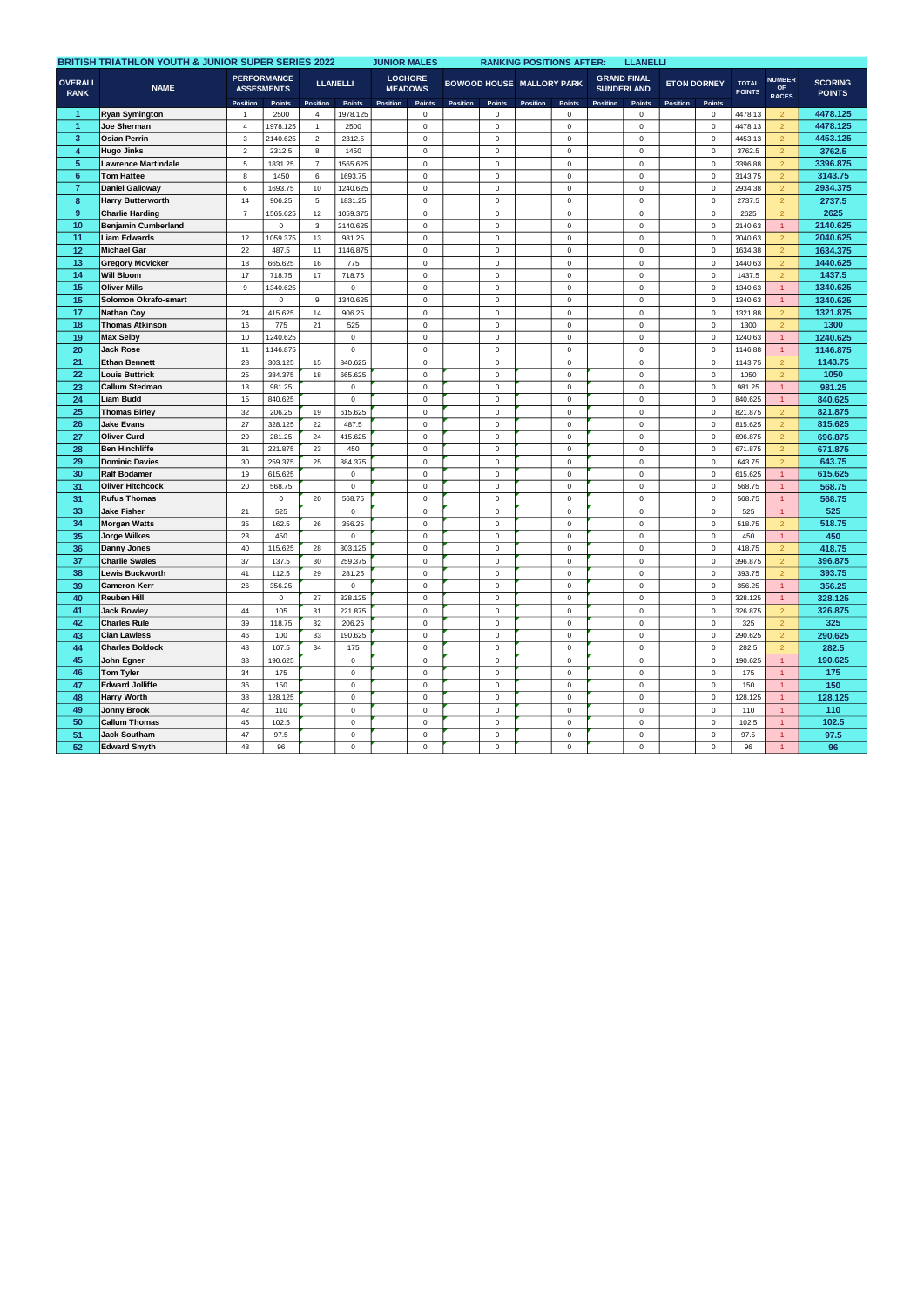|                               | BRITISH TRIATHLON YOUTH & JUNIOR SUPER SERIES 2022 |                                         |                |                 |                       |          |                                  |          |                            |                                  |                            | <b>RANKING POSITIONS AFTER:</b><br><b>LLANELLI</b> |                                         |                    |                            |                               |                                            |                                 |  |  |
|-------------------------------|----------------------------------------------------|-----------------------------------------|----------------|-----------------|-----------------------|----------|----------------------------------|----------|----------------------------|----------------------------------|----------------------------|----------------------------------------------------|-----------------------------------------|--------------------|----------------------------|-------------------------------|--------------------------------------------|---------------------------------|--|--|
| <b>OVERALL</b><br><b>RANK</b> | <b>NAME</b>                                        | <b>PERFORMANCE</b><br><b>ASSESMENTS</b> |                | <b>LLANELLI</b> |                       |          | <b>LOCHORE</b><br><b>MEADOWS</b> |          |                            | <b>BOWOOD HOUSE MALLORY PARK</b> |                            |                                                    | <b>GRAND FINAL</b><br><b>SUNDERLAND</b> | <b>ETON DORNEY</b> |                            | <b>TOTAL</b><br><b>POINTS</b> | <b>NUMBER</b><br><b>OF</b><br><b>RACES</b> | <b>SCORING</b><br><b>POINTS</b> |  |  |
|                               |                                                    | Position                                | <b>Points</b>  | Position        | Points                | Position | <b>Points</b>                    | Position | <b>Points</b>              | Position                         | Points                     | Position                                           | <b>Points</b>                           | Position           | Points                     |                               |                                            |                                 |  |  |
| 1                             | <b>Ryan Symington</b>                              | $\mathbf{1}$                            | 2500           | $\sqrt{4}$      | 1978.125              |          | $\mathbf 0$                      |          | $\pmb{0}$                  |                                  | 0                          |                                                    | 0                                       |                    | 0                          | 4478.13                       | $\overline{2}$                             | 4478.125                        |  |  |
| $\mathbf{1}$                  | Joe Sherman                                        | $\overline{4}$                          | 1978.125       | $\mathbf{1}$    | 2500                  |          | $\mathbf 0$                      |          | $\mathsf 0$                |                                  | $\mathbf 0$                |                                                    | $\mathbf 0$                             |                    | $\mathbf 0$                | 4478.13                       | $\overline{2}$                             | 4478.125                        |  |  |
| 3                             | <b>Osian Perrin</b>                                | 3                                       | 2140.625       | $\sqrt{2}$      | 2312.5                |          | $\mathsf 0$                      |          | $\mathsf 0$                |                                  | $\mathbf 0$                |                                                    | 0                                       |                    | $\mathbf 0$                | 4453.13                       | $\overline{c}$                             | 4453.125                        |  |  |
| 4                             | <b>Hugo Jinks</b>                                  | $\overline{a}$                          | 2312.5         | 8               | 1450                  |          | $\mathbf 0$                      |          | $\pmb{0}$                  |                                  | $\Omega$                   |                                                    | 0                                       |                    | $\Omega$                   | 3762.5                        | $\overline{2}$                             | 3762.5                          |  |  |
| 5                             | <b>Lawrence Martindale</b>                         | 5                                       | 1831.25        | $\overline{7}$  | 1565.625              |          | $\mathbf 0$                      |          | $\mathsf 0$                |                                  | $\mathbf 0$                |                                                    | $\mathbf 0$                             |                    | $\mathbf 0$                | 3396.88                       | $\overline{2}$                             | 3396.875                        |  |  |
| $6\phantom{a}$                | <b>Tom Hattee</b>                                  | 8                                       | 1450           | 6               | 1693.75               |          | $\mathsf 0$                      |          | $\mathbf 0$                |                                  | $\Omega$                   |                                                    | $\mathbf 0$                             |                    | $\mathbf 0$                | 3143.75                       | $\overline{2}$                             | 3143.75                         |  |  |
| $\overline{7}$                | <b>Daniel Galloway</b>                             | 6                                       | 1693.75        | 10              | 1240.625              |          | $\Omega$                         |          | $\mathbf 0$                |                                  | $\Omega$                   |                                                    | $\mathbf 0$                             |                    | $\Omega$                   | 2934.38                       | $\overline{2}$                             | 2934.375                        |  |  |
| 8                             | <b>Harry Butterworth</b>                           | 14                                      | 906.25         | $\mathbf 5$     | 1831.25               |          | $\mathsf 0$                      |          | $\mathsf 0$                |                                  | $\mathbf 0$                |                                                    | 0                                       |                    | $\mathbf 0$                | 2737.5                        | $\overline{2}$                             | 2737.5                          |  |  |
| 9                             | <b>Charlie Harding</b>                             | $\overline{7}$                          | 1565.625       | 12              | 1059.375              |          | $\mathsf 0$                      |          | $\mathsf 0$                |                                  | $\Omega$                   |                                                    | 0                                       |                    | $\mathbf 0$                | 2625                          | $\overline{2}$                             | 2625                            |  |  |
| 10                            | <b>Benjamin Cumberland</b>                         |                                         | 0              | 3               | 2140.625              |          | $\mathbf 0$                      |          | $\mathbf 0$                |                                  | $\mathbf 0$                |                                                    | 0                                       |                    | $\overline{0}$             | 2140.63                       | $\mathbf{1}$                               | 2140.625                        |  |  |
| 11                            | <b>Liam Edwards</b>                                | 12                                      | 1059.375       | 13              | 981.25                |          | $\mathsf 0$                      |          | $\mathsf 0$                |                                  | $\mathbf 0$                |                                                    | 0                                       |                    | $\mathbf 0$                | 2040.63                       | $\overline{2}$                             | 2040.625                        |  |  |
| 12                            | <b>Michael Gar</b>                                 | 22                                      | 487.5          | 11              | 1146.875              |          | $\mathbf 0$                      |          | $\mathbf 0$                |                                  | $\mathbf 0$                |                                                    | $\mathbf 0$                             |                    | $\mathbf 0$                | 1634.38                       | $\overline{2}$                             | 1634.375                        |  |  |
| 13                            | <b>Gregory Mcvicker</b>                            | 18                                      | 665.625        | 16              | 775                   |          | $\mathbf 0$                      |          | $\mathbf 0$                |                                  | $\Omega$                   |                                                    | 0                                       |                    | $\overline{0}$             | 1440.63                       | $\overline{2}$                             | 1440.625                        |  |  |
| 14                            | <b>Will Bloom</b>                                  | 17                                      | 718.75         | 17              | 718.75                |          | $\mathbf 0$                      |          | $\mathsf 0$                |                                  | $\Omega$                   |                                                    | 0                                       |                    | $\mathbf 0$                | 1437.5                        | $\overline{2}$                             | 1437.5                          |  |  |
| 15                            | <b>Oliver Mills</b>                                | 9                                       | 1340.625       |                 | $\mathbf 0$           |          | $\mathbf 0$                      |          | $\mathbf 0$                |                                  | $\mathbf 0$                |                                                    | $\mathbf 0$                             |                    | $\mathbf 0$                | 1340.63                       | $\mathbf{1}$                               | 1340.625                        |  |  |
| 15                            | Solomon Okrafo-smart                               |                                         | $\mathbf 0$    | $\mathsf g$     | 1340.625              |          | $\mathbf 0$                      |          | $\mathbf 0$                |                                  | $\Omega$                   |                                                    | 0                                       |                    | $\Omega$                   | 1340.63                       | $\mathbf{1}$                               | 1340.625                        |  |  |
| 17                            | <b>Nathan Coy</b>                                  | 24                                      | 415.625        | 14              | 906.25                |          | $\mathbf 0$                      |          | $\mathsf 0$                |                                  | $\Omega$                   |                                                    | 0                                       |                    | $\mathbf 0$                | 1321.88                       | $\overline{2}$                             | 1321.875                        |  |  |
| 18                            | <b>Thomas Atkinson</b>                             | 16                                      | 775            | 21              | 525                   |          | $\mathbf 0$                      |          | $\mathbf 0$                |                                  | $\mathbf 0$                |                                                    | $\mathbf 0$                             |                    | $\mathbf 0$                | 1300                          | $\overline{2}$                             | 1300                            |  |  |
| 19                            | <b>Max Selby</b>                                   | 10                                      | 1240.625       |                 | $\mathsf 0$           |          | $\mathsf 0$                      |          | $\pmb{0}$                  |                                  | $\mathbf 0$                |                                                    | 0                                       |                    | 0                          | 1240.63                       | $\mathbf{1}$                               | 1240.625                        |  |  |
| 20                            | Jack Rose                                          | 11                                      | 1146.875       |                 | 0                     |          | $\mathbf 0$                      |          | $\mathsf 0$                |                                  | $\mathbf 0$                |                                                    | 0                                       |                    | $\mathbf 0$                | 1146.88                       | $\mathbf{1}$                               | 1146.875                        |  |  |
| 21                            | <b>Ethan Bennett</b>                               | 28                                      | 303.125        | 15              | 840.625               |          | $\mathsf 0$                      |          | $\mathsf 0$                |                                  | $\mathbf 0$                |                                                    | 0                                       |                    | $\mathbf 0$                | 1143.75                       | $\overline{2}$                             | 1143.75                         |  |  |
| 22                            | <b>Louis Buttrick</b>                              | 25                                      | 384.375        | 18              | 665.625               |          | $\mathsf 0$                      |          | $\mathbf 0$                |                                  | $\mathbf 0$                |                                                    | $\mathsf 0$                             |                    | $\mathbf 0$                | 1050                          | $\overline{2}$                             | 1050                            |  |  |
| 23                            | <b>Callum Stedman</b>                              | 13                                      | 981.25         |                 | $\mathsf 0$           |          | $\mathsf 0$                      |          | $\mathsf 0$                |                                  | $\mathbf 0$                |                                                    | 0                                       |                    | $\mathbf 0$                | 981.25                        | $\mathbf{1}$                               | 981.25                          |  |  |
| 24                            | Liam Budd                                          | 15                                      | 840.625        |                 | $\mathsf 0$           |          | $\mathbf 0$                      |          | $\pmb{0}$                  |                                  | $\Omega$                   |                                                    | 0                                       |                    | $\mathbf 0$                | 840.625                       | $\mathbf{1}$                               | 840.625                         |  |  |
| 25                            | <b>Thomas Birley</b>                               | 32                                      | 206.25         | 19              | 615.625               |          | $\mathsf 0$                      |          | $\mathsf 0$                |                                  | $\mathbf 0$                |                                                    | 0                                       |                    | $\pmb{0}$                  | 821.875                       | $\overline{2}$                             | 821.875                         |  |  |
| 26                            | <b>Jake Evans</b>                                  | 27                                      | 328.125        | 22              | 487.5                 |          | $\mathsf 0$                      |          | $\mathsf 0$                |                                  | $\mathbf 0$                |                                                    | 0                                       |                    | $\mathbf 0$                | 815.625                       | $\overline{2}$                             | 815.625                         |  |  |
| 27                            | Oliver Curd                                        | 29                                      | 281.25         | 24              | 415.625               |          | $\mathbf 0$                      |          | $\mathsf 0$                |                                  | $\Omega$                   |                                                    | 0                                       |                    | $\mathbf 0$                | 696.875                       | $\overline{2}$                             | 696.875                         |  |  |
| 28                            | <b>Ben Hinchliffe</b>                              | 31                                      | 221.875        | 23              | 450                   |          | $\mathbf 0$                      |          | $\mathsf 0$                |                                  | $\mathbf 0$                |                                                    | 0                                       |                    | $\mathbf 0$                | 671.875                       | $\mathcal{L}$                              | 671.875                         |  |  |
| 29                            | <b>Dominic Davies</b>                              | 30                                      | 259.375        | 25              | 384.375               |          | $\mathsf 0$                      |          | $\mathsf 0$                |                                  | $\mathbf 0$                |                                                    | 0                                       |                    | $\mathbf 0$                | 643.75                        | $\overline{2}$                             | 643.75                          |  |  |
| 30                            | <b>Ralf Bodamer</b>                                | 19                                      | 615.625        |                 | $\mathsf{O}\xspace$   |          | $\mathsf 0$                      |          | $\mathsf 0$                |                                  | $\mathbf 0$                |                                                    | 0                                       |                    | $\pmb{0}$                  | 615.625                       | $\overline{1}$                             | 615.625                         |  |  |
| 31                            | <b>Oliver Hitchcock</b>                            | 20                                      | 568.75         |                 | $\mathsf 0$           |          | $\mathsf 0$                      |          | $\mathbf 0$                |                                  | $\mathbf 0$                |                                                    | 0                                       |                    | $\mathbf 0$                | 568.75                        | $\mathbf{1}$                               | 568.75                          |  |  |
| 31                            | <b>Rufus Thomas</b>                                |                                         | $\mathsf 0$    | 20              | 568.75                |          | $\mathsf 0$                      |          | $\mathsf 0$                |                                  | $\mathbf 0$                |                                                    | 0                                       |                    | $\mathbf 0$                | 568.75                        |                                            | 568.75                          |  |  |
| 33                            |                                                    |                                         |                |                 |                       |          | $\mathbf 0$                      |          |                            |                                  | $\mathbf 0$                |                                                    |                                         |                    |                            |                               | $\mathbf{1}$<br>$\overline{1}$             | 525                             |  |  |
|                               | <b>Jake Fisher</b>                                 | 21<br>35                                | 525            |                 | $\mathsf 0$           |          | $\mathbf 0$                      |          | $\mathsf 0$<br>$\mathbf 0$ |                                  | $\mathbf 0$                |                                                    | 0<br>$\mathbf 0$                        |                    | $\mathbf 0$<br>$\mathbf 0$ | 525                           | $\overline{2}$                             |                                 |  |  |
| 34                            | <b>Morgan Watts</b>                                | 23                                      | 162.5<br>450   | 26              | 356.25<br>$\mathsf 0$ |          |                                  |          |                            |                                  |                            |                                                    | 0                                       |                    | $\pmb{0}$                  | 518.75                        |                                            | 518.75                          |  |  |
| 35<br>36                      | <b>Jorge Wilkes</b>                                |                                         |                |                 |                       |          | $\mathsf 0$                      |          | $\mathsf 0$                |                                  | $\mathbf 0$<br>$\Omega$    |                                                    |                                         |                    |                            | 450                           | $\mathbf{1}$                               | 450<br>418.75                   |  |  |
|                               | Danny Jones                                        | 40                                      | 115.625        | 28              | 303.125               |          | $\mathbf 0$                      |          | $\mathsf 0$                |                                  |                            |                                                    | 0                                       |                    | $\mathbf 0$                | 418.75                        | $\overline{2}$                             |                                 |  |  |
| 37<br>38                      | <b>Charlie Swales</b><br><b>Lewis Buckworth</b>    | 37<br>41                                | 137.5<br>112.5 | 30<br>29        | 259.375<br>281.25     |          | $\mathbf 0$<br>$\mathsf 0$       |          | $\mathbf 0$<br>$\mathsf 0$ |                                  | $\mathbf 0$<br>$\mathbf 0$ |                                                    | $\mathbf 0$<br>0                        |                    | $\mathbf 0$<br>$\mathbf 0$ | 396.875<br>393.75             | $\overline{2}$                             | 396.875                         |  |  |
|                               |                                                    |                                         |                |                 |                       |          |                                  |          |                            |                                  |                            |                                                    |                                         |                    |                            |                               | $\overline{2}$                             | 393.75                          |  |  |
| 39                            | <b>Cameron Kerr</b>                                | 26                                      | 356.25         |                 | $\mathbf 0$           |          | $\mathbf 0$                      |          | $\mathsf 0$                |                                  | $\Omega$                   |                                                    | 0                                       |                    | $\mathbf 0$                | 356.25                        | $\overline{1}$                             | 356.25                          |  |  |
| 40                            | <b>Reuben Hill</b>                                 |                                         | $\mathbf 0$    | 27              | 328.125               |          | $\mathbf 0$                      |          | $\mathbf 0$                |                                  | $\mathbf 0$                |                                                    | $\mathbf 0$                             |                    | $\mathbf 0$                | 328.125                       | $\mathbf{1}$                               | 328.125                         |  |  |
| 41                            | <b>Jack Bowley</b>                                 | 44                                      | 105            | 31              | 221.875               |          | $\mathsf 0$                      |          | $\mathbf 0$                |                                  | $\mathbf 0$                |                                                    | $\mathbf 0$                             |                    | $\mathbf 0$                | 326.875                       | $\overline{2}$                             | 326.875                         |  |  |
| 42                            | <b>Charles Rule</b>                                | 39                                      | 118.75         | 32              | 206.25                |          | $\mathbf 0$                      |          | $\,0\,$                    |                                  | $\mathbf 0$                |                                                    | 0                                       |                    | 0                          | 325                           | $\overline{2}$                             | 325                             |  |  |
| 43                            | <b>Cian Lawless</b>                                | 46                                      | 100            | 33              | 190.625               |          | $\mathsf 0$                      |          | $\mathbf 0$                |                                  | $\mathbf 0$                |                                                    | 0                                       |                    | $\mathbf 0$                | 290.625                       | $\overline{2}$                             | 290.625                         |  |  |
| 44                            | <b>Charles Boldock</b>                             | 43                                      | 107.5          | 34              | 175                   |          | $\mathsf 0$                      |          | $\mathsf 0$                |                                  | $\mathbf 0$                |                                                    | 0                                       |                    | $\mathbf 0$                | 282.5                         | $\overline{2}$                             | 282.5                           |  |  |
| 45                            | John Egner                                         | 33                                      | 190.625        |                 | 0                     |          | $\mathbf 0$                      |          | $\mathsf 0$                |                                  | $\mathbf 0$                |                                                    | 0                                       |                    | $\mathbf 0$                | 190.625                       | $\overline{1}$                             | 190.625                         |  |  |
| 46                            | <b>Tom Tyler</b>                                   | 34                                      | 175            |                 | $\mathsf 0$           |          | $\mathsf 0$                      |          | $\mathsf 0$                |                                  | $\mathbf 0$                |                                                    | 0                                       |                    | $\mathbf 0$                | 175                           | $\mathbf{1}$                               | 175                             |  |  |
| 47                            | <b>Edward Jolliffe</b>                             | 36                                      | 150            |                 | $\mathbf 0$           |          | $\mathsf 0$                      |          | $\mathbf 0$                |                                  | $\mathbf 0$                |                                                    | $\mathbf 0$                             |                    | $\mathbf 0$                | 150                           | $\overline{1}$                             | 150                             |  |  |
| 48                            | <b>Harry Worth</b>                                 | 38                                      | 128.125        |                 | $\mathsf 0$           |          | $\mathbf 0$                      |          | $\mathsf 0$                |                                  | $\mathbf 0$                |                                                    | 0                                       |                    | $\mathbf 0$                | 128.125                       | $\mathbf{1}$                               | 128.125                         |  |  |
| 49                            | <b>Jonny Brook</b>                                 | 42                                      | 110            |                 | $\mathbf 0$           |          | $\mathsf 0$                      |          | $\mathsf 0$                |                                  | $\mathbf 0$                |                                                    | 0                                       |                    | $\mathbf 0$                | 110                           | $\mathbf{1}$                               | 110                             |  |  |
| 50                            | <b>Callum Thomas</b>                               | 45                                      | 102.5          |                 | $\mathbf 0$           |          | $\mathbf 0$                      |          | $\mathbf 0$                |                                  | $\Omega$                   |                                                    | $\mathbf 0$                             |                    | $\mathbf 0$                | 102.5                         | $\mathbf{1}$                               | 102.5                           |  |  |
| 51                            | <b>Jack Southam</b>                                | 47                                      | 97.5           |                 | $\mathbf 0$           |          | $\mathbf 0$                      |          | $\mathbf 0$                |                                  | $\Omega$                   |                                                    | 0                                       |                    | $\mathbf 0$                | 97.5                          | $\mathbf{1}$                               | 97.5                            |  |  |
| 52                            | <b>Edward Smyth</b>                                | 48                                      | 96             |                 | $\mathbf 0$           |          | $\Omega$                         |          | $\mathbf 0$                |                                  | $\Omega$                   |                                                    | $\mathbf 0$                             |                    | $\mathbf 0$                | 96                            | $\overline{1}$                             | 96                              |  |  |